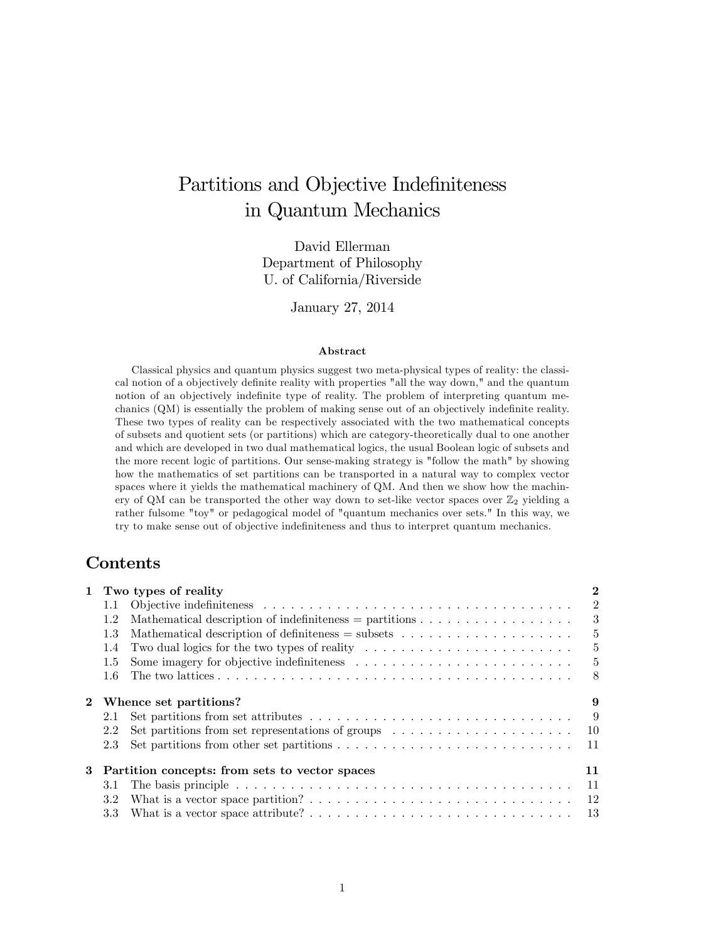# Partitions and Objective Indefiniteness in Quantum Mechanics

David Ellerman Department of Philosophy U. of California/Riverside

January 27, 2014

#### Abstract

Classical physics and quantum physics suggest two meta-physical types of reality: the classical notion of a objectively definite reality with properties "all the way down," and the quantum notion of an objectively indefinite type of reality. The problem of interpreting quantum mechanics (QM) is essentially the problem of making sense out of an objectively indefinite reality. These two types of reality can be respectively associated with the two mathematical concepts of subsets and quotient sets (or partitions) which are category-theoretically dual to one another and which are developed in two dual mathematical logics, the usual Boolean logic of subsets and the more recent logic of partitions. Our sense-making strategy is "follow the math" by showing how the mathematics of set partitions can be transported in a natural way to complex vector spaces where it yields the mathematical machinery of QM. And then we show how the machinery of QM can be transported the other way down to set-like vector spaces over  $\mathbb{Z}_2$  yielding a rather fulsome "toy" or pedagogical model of "quantum mechanics over sets." In this way, we try to make sense out of objective indefiniteness and thus to interpret quantum mechanics.

# Contents

| $\mathbf{1}$                                     |               | Two types of reality                                                                                 | $\bf{2}$       |
|--------------------------------------------------|---------------|------------------------------------------------------------------------------------------------------|----------------|
|                                                  | $1.1\,$       |                                                                                                      | $\overline{2}$ |
|                                                  | 1.2           |                                                                                                      | 3              |
|                                                  | 1.3           | Mathematical description of definiteness $=$ subsets $\ldots \ldots \ldots \ldots \ldots \ldots$     | $5^{\circ}$    |
|                                                  | $1.4^{\circ}$ | Two dual logics for the two types of reality $\dots \dots \dots \dots \dots \dots \dots \dots \dots$ | $5^{\circ}$    |
|                                                  | 1.5           |                                                                                                      | $5^{\circ}$    |
|                                                  | 1.6           |                                                                                                      | -8             |
|                                                  |               | 2 Whence set partitions?                                                                             | 9              |
|                                                  | 2.1           |                                                                                                      | -9             |
|                                                  | 2.2           |                                                                                                      | 10             |
|                                                  | 2.3           |                                                                                                      | 11             |
| 3 Partition concepts: from sets to vector spaces |               |                                                                                                      | 11             |
|                                                  | 3.1           |                                                                                                      | 11             |
|                                                  | 3.2           |                                                                                                      | 12             |
|                                                  |               |                                                                                                      | 13             |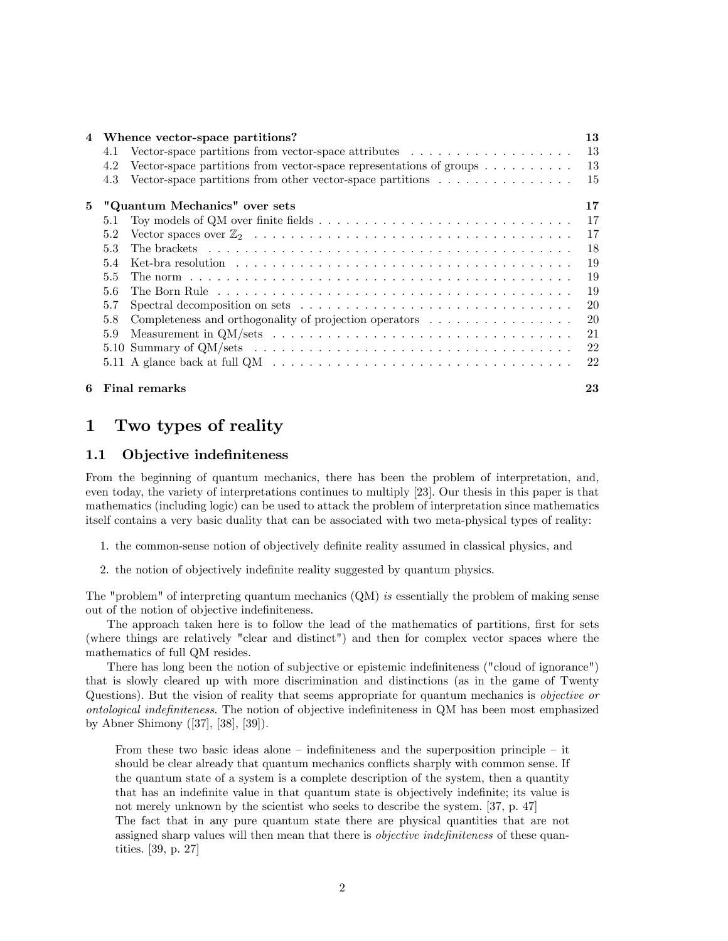| 4 | Whence vector-space partitions?                                                                                            | 13 |  |  |
|---|----------------------------------------------------------------------------------------------------------------------------|----|--|--|
|   | Vector-space partitions from vector-space attributes $\dots \dots \dots \dots \dots \dots$<br>4.1                          | 13 |  |  |
|   | Vector-space partitions from vector-space representations of groups $\dots \dots \dots$<br>4.2                             | 13 |  |  |
|   | Vector-space partitions from other vector-space partitions $\dots \dots \dots \dots \dots$<br>4.3                          | 15 |  |  |
| 5 | "Quantum Mechanics" over sets                                                                                              | 17 |  |  |
|   | 5.1                                                                                                                        | 17 |  |  |
|   | 5.2                                                                                                                        | 17 |  |  |
|   | 5.3                                                                                                                        | 18 |  |  |
|   | $5.4^{\circ}$                                                                                                              | 19 |  |  |
|   | $5.5^{\circ}$                                                                                                              | 19 |  |  |
|   | The Born Rule business is a series in the series in the series in the series of the Sorrator in the Series in the S<br>5.6 | 19 |  |  |
|   | 5.7                                                                                                                        | 20 |  |  |
|   | Completeness and orthogonality of projection operators $\dots \dots \dots \dots \dots$<br>5.8                              | 20 |  |  |
|   | Measurement in QM/sets $\dots \dots \dots \dots \dots \dots \dots \dots \dots \dots \dots \dots \dots \dots$<br>5.9        | 21 |  |  |
|   |                                                                                                                            | 22 |  |  |
|   | 5.11 A glance back at full $QM \dots \dots \dots \dots \dots \dots \dots \dots \dots \dots \dots \dots \dots \dots$        | 22 |  |  |
|   | 6 Final remarks                                                                                                            | 23 |  |  |

# 1 Two types of reality

# 1.1 Objective indefiniteness

From the beginning of quantum mechanics, there has been the problem of interpretation, and, even today, the variety of interpretations continues to multiply [23]. Our thesis in this paper is that mathematics (including logic) can be used to attack the problem of interpretation since mathematics itself contains a very basic duality that can be associated with two meta-physical types of reality:

- 1. the common-sense notion of objectively definite reality assumed in classical physics, and
- 2. the notion of objectively indefinite reality suggested by quantum physics.

The "problem" of interpreting quantum mechanics (QM) is essentially the problem of making sense out of the notion of objective indefiniteness.

The approach taken here is to follow the lead of the mathematics of partitions, first for sets (where things are relatively "clear and distinct") and then for complex vector spaces where the mathematics of full QM resides.

There has long been the notion of subjective or epistemic indefiniteness ("cloud of ignorance") that is slowly cleared up with more discrimination and distinctions (as in the game of Twenty Questions). But the vision of reality that seems appropriate for quantum mechanics is objective or ontological indefiniteness. The notion of objective indefiniteness in QM has been most emphasized by Abner Shimony ([37], [38], [39]).

From these two basic ideas alone  $-$  indefiniteness and the superposition principle  $-$  it should be clear already that quantum mechanics conflicts sharply with common sense. If the quantum state of a system is a complete description of the system, then a quantity that has an indefinite value in that quantum state is objectively indefinite; its value is not merely unknown by the scientist who seeks to describe the system. [37, p. 47]

The fact that in any pure quantum state there are physical quantities that are not assigned sharp values will then mean that there is *objective indefiniteness* of these quantities. [39, p. 27]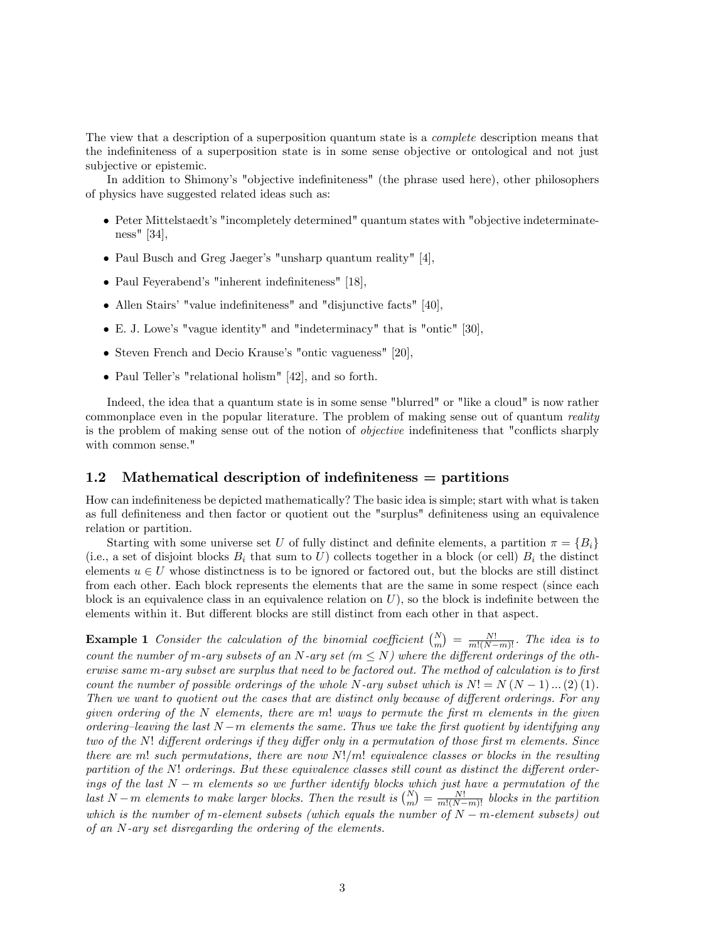The view that a description of a superposition quantum state is a complete description means that the indefiniteness of a superposition state is in some sense objective or ontological and not just subjective or epistemic.

In addition to Shimony's "objective indefiniteness" (the phrase used here), other philosophers of physics have suggested related ideas such as:

- Peter Mittelstaedt's "incompletely determined" quantum states with "objective indeterminateness" [34],
- Paul Busch and Greg Jaeger's "unsharp quantum reality"  $[4]$ ,
- Paul Feyerabend's "inherent indefiniteness" [18],
- Allen Stairs' "value indefiniteness" and "disjunctive facts" [40],
- E. J. Lowe's "vague identity" and "indeterminacy" that is "ontic" [30],
- Steven French and Decio Krause's "ontic vagueness" [20],
- Paul Teller's "relational holism" [42], and so forth.

Indeed, the idea that a quantum state is in some sense "blurred" or "like a cloud" is now rather commonplace even in the popular literature. The problem of making sense out of quantum reality is the problem of making sense out of the notion of *objective* indefiniteness that "conflicts sharply with common sense."

## 1.2 Mathematical description of indefiniteness  $=$  partitions

How can indefiniteness be depicted mathematically? The basic idea is simple; start with what is taken as full definiteness and then factor or quotient out the "surplus" definiteness using an equivalence relation or partition.

Starting with some universe set U of fully distinct and definite elements, a partition  $\pi = \{B_i\}$ (i.e., a set of disjoint blocks  $B_i$  that sum to U) collects together in a block (or cell)  $B_i$  the distinct elements  $u \in U$  whose distinctness is to be ignored or factored out, but the blocks are still distinct from each other. Each block represents the elements that are the same in some respect (since each block is an equivalence class in an equivalence relation on  $U$ ), so the block is indefinite between the elements within it. But different blocks are still distinct from each other in that aspect.

**Example 1** Consider the calculation of the binomial coefficient  $\binom{N}{m} = \frac{N!}{m!(N-m)!}$ . The idea is to count the number of m-ary subsets of an N-ary set ( $m \leq N$ ) where the different orderings of the otherwise same m-ary subset are surplus that need to be factored out. The method of calculation is to first count the number of possible orderings of the whole N-ary subset which is  $N! = N(N-1)...(2)$  (1). Then we want to quotient out the cases that are distinct only because of different orderings. For any given ordering of the  $N$  elements, there are m! ways to permute the first m elements in the given ordering-leaving the last  $N-m$  elements the same. Thus we take the first quotient by identifying any two of the N! different orderings if they differ only in a permutation of those first m elements. Since there are m! such permutations, there are now  $N!/m!$  equivalence classes or blocks in the resulting partition of the  $N!$  orderings. But these equivalence classes still count as distinct the different orderings of the last  $N-m$  elements so we further identify blocks which just have a permutation of the last N – m elements to make larger blocks. Then the result is  $\binom{N}{m} = \frac{N!}{m!(N-m)!}$  blocks in the partition which is the number of m-element subsets (which equals the number of  $N - m$ -element subsets) out of an N-ary set disregarding the ordering of the elements.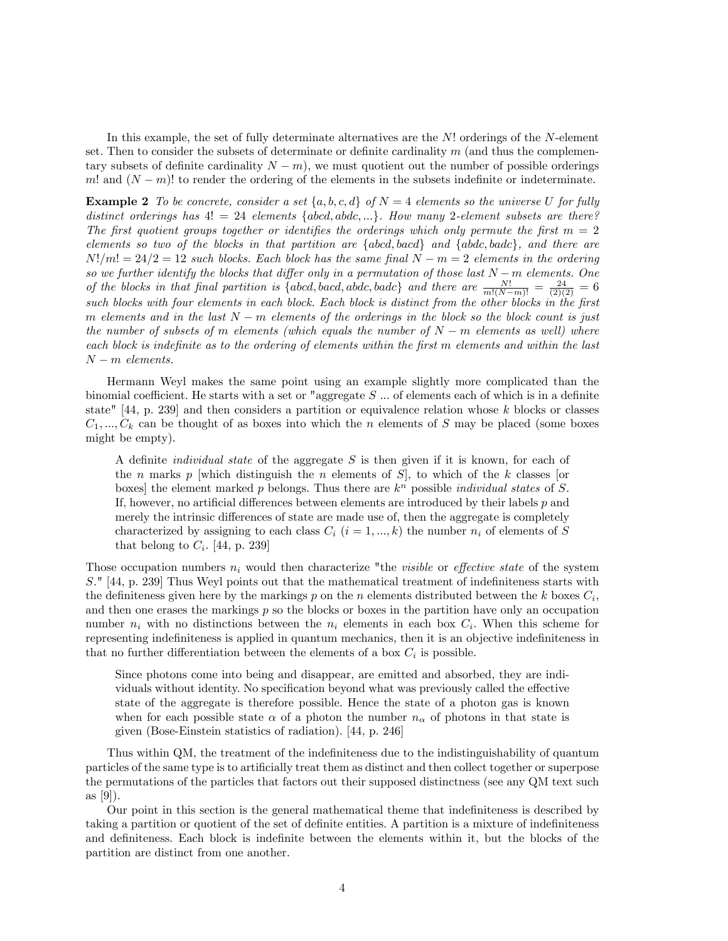In this example, the set of fully determinate alternatives are the  $N!$  orderings of the N-element set. Then to consider the subsets of determinate or definite cardinality  $m$  (and thus the complementary subsets of definite cardinality  $N - m$ , we must quotient out the number of possible orderings m! and  $(N-m)!$  to render the ordering of the elements in the subsets indefinite or indeterminate.

**Example 2** To be concrete, consider a set  $\{a, b, c, d\}$  of  $N = 4$  elements so the universe U for fully distinct orderings has  $4! = 24$  elements  $\{abcd, abdc, ...\}$ . How many 2-element subsets are there? The first quotient groups together or identifies the orderings which only permute the first  $m = 2$ elements so two of the blocks in that partition are  $\{abcd, bacd\}$  and  $\{abdc, badc\}$ , and there are  $N!/m! = 24/2 = 12$  such blocks. Each block has the same final  $N - m = 2$  elements in the ordering so we further identify the blocks that differ only in a permutation of those last  $N-m$  elements. One of the blocks in that final partition is {abcd, bacd, abdc, badc} and there are  $\frac{N!}{m!(N-m)!} = \frac{24}{(2)(2)} = 6$ such blocks with four elements in each block. Each block is distinct from the other blocks in the first m elements and in the last  $N-m$  elements of the orderings in the block so the block count is just the number of subsets of m elements (which equals the number of  $N-m$  elements as well) where each block is indefinite as to the ordering of elements within the first  $m$  elements and within the last  $N - m$  elements.

Hermann Weyl makes the same point using an example slightly more complicated than the binomial coefficient. He starts with a set or "aggregate  $S \dots$  of elements each of which is in a definite state"  $[44, p. 239]$  and then considers a partition or equivalence relation whose k blocks or classes  $C_1, ..., C_k$  can be thought of as boxes into which the n elements of S may be placed (some boxes might be empty).

A definite *individual state* of the aggregate S is then given if it is known, for each of the n marks p which distinguish the n elements of  $S$ , to which of the k classes [or boxes] the element marked  $p$  belongs. Thus there are  $k^n$  possible *individual states* of  $S$ . If, however, no artificial differences between elements are introduced by their labels  $p$  and merely the intrinsic differences of state are made use of, then the aggregate is completely characterized by assigning to each class  $C_i$   $(i = 1, ..., k)$  the number  $n_i$  of elements of S that belong to  $C_i$ . [44, p. 239]

Those occupation numbers  $n_i$  would then characterize "the *visible* or *effective state* of the system S." [44, p. 239] Thus Weyl points out that the mathematical treatment of indefiniteness starts with the definiteness given here by the markings p on the n elements distributed between the k boxes  $C_i$ , and then one erases the markings p so the blocks or boxes in the partition have only an occupation number  $n_i$  with no distinctions between the  $n_i$  elements in each box  $C_i$ . When this scheme for representing indefiniteness is applied in quantum mechanics, then it is an objective indefiniteness in that no further differentiation between the elements of a box  $C_i$  is possible.

Since photons come into being and disappear, are emitted and absorbed, they are individuals without identity. No specification beyond what was previously called the effective state of the aggregate is therefore possible. Hence the state of a photon gas is known when for each possible state  $\alpha$  of a photon the number  $n_{\alpha}$  of photons in that state is given (Bose-Einstein statistics of radiation). [44, p. 246]

Thus within QM, the treatment of the indefiniteness due to the indistinguishability of quantum particles of the same type is to artificially treat them as distinct and then collect together or superpose the permutations of the particles that factors out their supposed distinctness (see any QM text such as [9]).

Our point in this section is the general mathematical theme that indefiniteness is described by taking a partition or quotient of the set of definite entities. A partition is a mixture of indefiniteness and definiteness. Each block is indefinite between the elements within it, but the blocks of the partition are distinct from one another.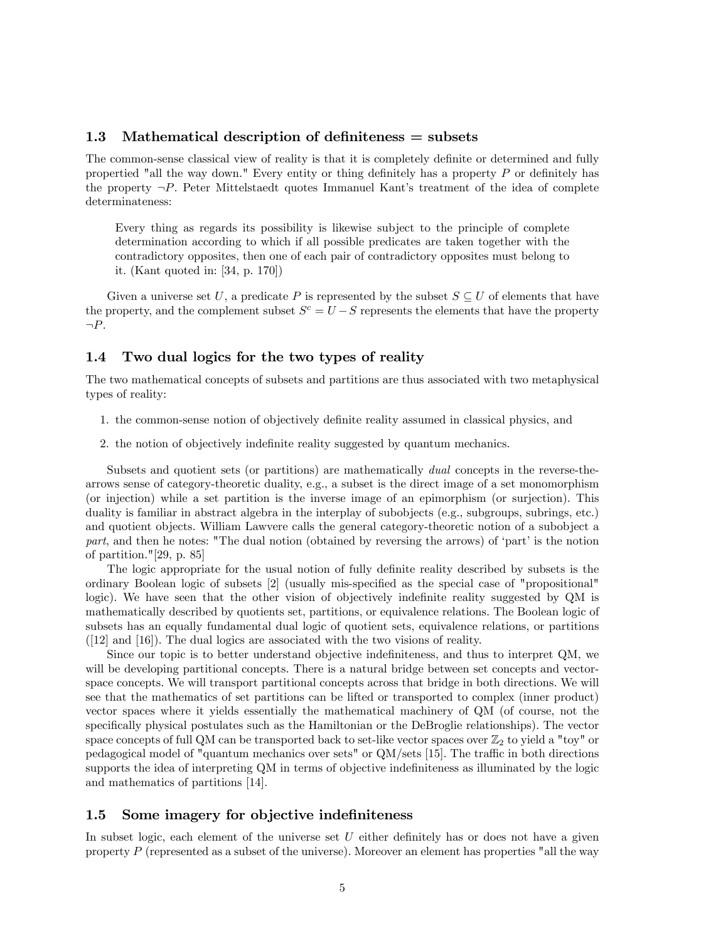# 1.3 Mathematical description of definiteness  $=$  subsets

The common-sense classical view of reality is that it is completely definite or determined and fully propertied "all the way down." Every entity or thing definitely has a property  $P$  or definitely has the property  $\neg P$ . Peter Mittelstaedt quotes Immanuel Kant's treatment of the idea of complete determinateness:

Every thing as regards its possibility is likewise subject to the principle of complete determination according to which if all possible predicates are taken together with the contradictory opposites, then one of each pair of contradictory opposites must belong to it. (Kant quoted in: [34, p. 170])

Given a universe set U, a predicate P is represented by the subset  $S \subseteq U$  of elements that have the property, and the complement subset  $S^c = U - S$  represents the elements that have the property  $\neg P$ .

# 1.4 Two dual logics for the two types of reality

The two mathematical concepts of subsets and partitions are thus associated with two metaphysical types of reality:

- 1. the common-sense notion of objectively definite reality assumed in classical physics, and
- 2. the notion of objectively indefinite reality suggested by quantum mechanics.

Subsets and quotient sets (or partitions) are mathematically *dual* concepts in the reverse-thearrows sense of category-theoretic duality, e.g., a subset is the direct image of a set monomorphism (or injection) while a set partition is the inverse image of an epimorphism (or surjection). This duality is familiar in abstract algebra in the interplay of subobjects (e.g., subgroups, subrings, etc.) and quotient objects. William Lawvere calls the general category-theoretic notion of a subobject a part, and then he notes: "The dual notion (obtained by reversing the arrows) of 'part' is the notion of partition."[29, p. 85]

The logic appropriate for the usual notion of fully definite reality described by subsets is the ordinary Boolean logic of subsets [2] (usually mis-specified as the special case of "propositional" logic). We have seen that the other vision of objectively indefinite reality suggested by QM is mathematically described by quotients set, partitions, or equivalence relations. The Boolean logic of subsets has an equally fundamental dual logic of quotient sets, equivalence relations, or partitions ([12] and [16]). The dual logics are associated with the two visions of reality.

Since our topic is to better understand objective indefiniteness, and thus to interpret QM, we will be developing partitional concepts. There is a natural bridge between set concepts and vectorspace concepts. We will transport partitional concepts across that bridge in both directions. We will see that the mathematics of set partitions can be lifted or transported to complex (inner product) vector spaces where it yields essentially the mathematical machinery of QM (of course, not the specifically physical postulates such as the Hamiltonian or the DeBroglie relationships). The vector space concepts of full QM can be transported back to set-like vector spaces over  $\mathbb{Z}_2$  to yield a "toy" or pedagogical model of "quantum mechanics over sets" or  $QM/sets$  [15]. The traffic in both directions supports the idea of interpreting QM in terms of objective indefiniteness as illuminated by the logic and mathematics of partitions [14].

### 1.5 Some imagery for objective indefiniteness

In subset logic, each element of the universe set  $U$  either definitely has or does not have a given property  $P$  (represented as a subset of the universe). Moreover an element has properties "all the way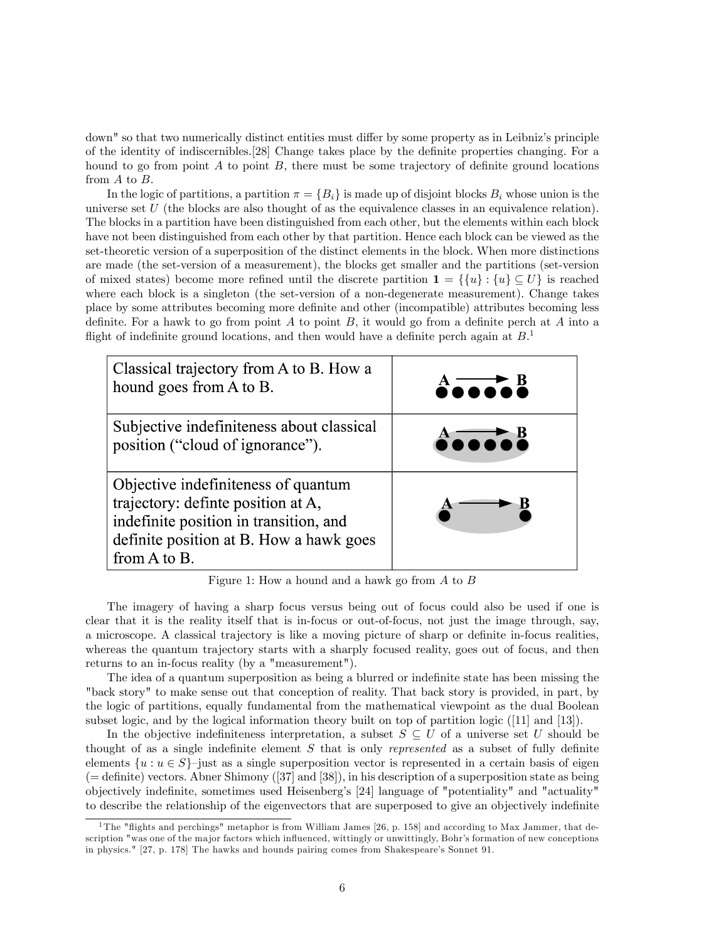down" so that two numerically distinct entities must differ by some property as in Leibniz's principle of the identity of indiscernibles.<sup>[28]</sup> Change takes place by the definite properties changing. For a hound to go from point A to point B, there must be some trajectory of definite ground locations from A to B.

In the logic of partitions, a partition  $\pi = \{B_i\}$  is made up of disjoint blocks  $B_i$  whose union is the universe set U (the blocks are also thought of as the equivalence classes in an equivalence relation). The blocks in a partition have been distinguished from each other, but the elements within each block have not been distinguished from each other by that partition. Hence each block can be viewed as the set-theoretic version of a superposition of the distinct elements in the block. When more distinctions are made (the set-version of a measurement), the blocks get smaller and the partitions (set-version of mixed states) become more refined until the discrete partition  $\mathbf{1} = \{ \{u\} : \{u\} \subseteq U \}$  is reached where each block is a singleton (the set-version of a non-degenerate measurement). Change takes place by some attributes becoming more definite and other (incompatible) attributes becoming less definite. For a hawk to go from point A to point B, it would go from a definite perch at A into a flight of indefinite ground locations, and then would have a definite perch again at  $B$ <sup>1</sup>



Figure 1: How a hound and a hawk go from A to B

The imagery of having a sharp focus versus being out of focus could also be used if one is clear that it is the reality itself that is in-focus or out-of-focus, not just the image through, say, a microscope. A classical trajectory is like a moving picture of sharp or definite in-focus realities, whereas the quantum trajectory starts with a sharply focused reality, goes out of focus, and then returns to an in-focus reality (by a "measurement").

The idea of a quantum superposition as being a blurred or indefinite state has been missing the "back story" to make sense out that conception of reality. That back story is provided, in part, by the logic of partitions, equally fundamental from the mathematical viewpoint as the dual Boolean subset logic, and by the logical information theory built on top of partition logic ([11] and [13]).

In the objective indefiniteness interpretation, a subset  $S \subseteq U$  of a universe set U should be thought of as a single indefinite element  $S$  that is only *represented* as a subset of fully definite elements  $\{u : u \in S\}$ -just as a single superposition vector is represented in a certain basis of eigen  $($  = definite) vectors. Abner Shimony  $([37] \text{ and } [38])$ , in his description of a superposition state as being objectively indeÖnite, sometimes used Heisenbergís [24] language of "potentiality" and "actuality" to describe the relationship of the eigenvectors that are superposed to give an objectively indefinite

<sup>&</sup>lt;sup>1</sup>The "flights and perchings" metaphor is from William James [26, p. 158] and according to Max Jammer, that description "was one of the major factors which influenced, wittingly or unwittingly, Bohr's formation of new conceptions in physics." [27, p. 178] The hawks and hounds pairing comes from Shakespeare's Sonnet 91.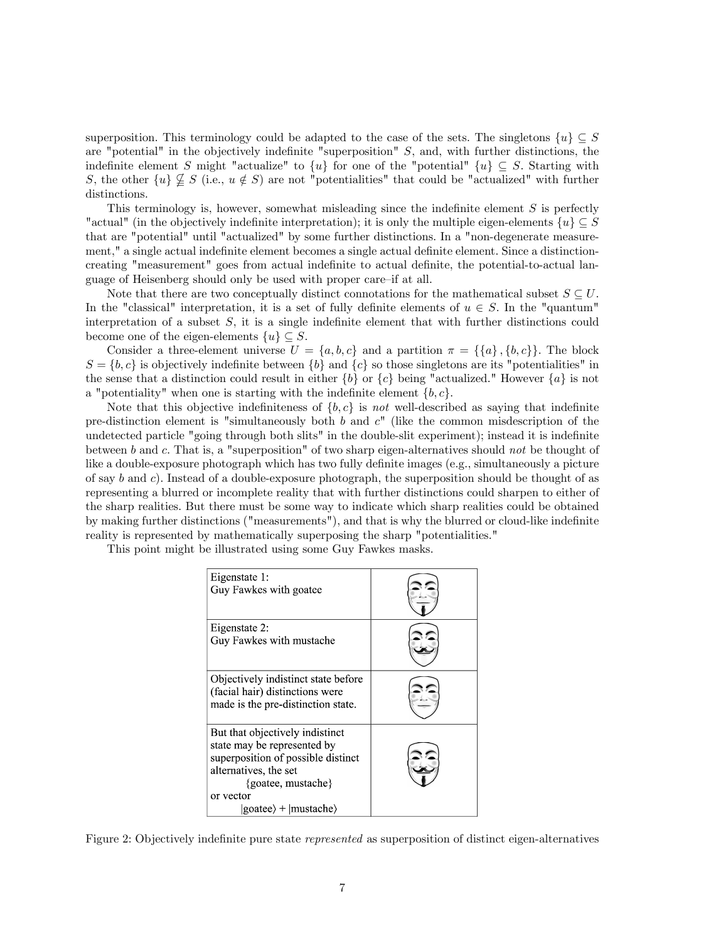superposition. This terminology could be adapted to the case of the sets. The singletons  $\{u\} \subseteq S$ are "potential" in the objectively indefinite "superposition"  $S$ , and, with further distinctions, the indefinite element S might "actualize" to  $\{u\}$  for one of the "potential"  $\{u\} \subseteq S$ . Starting with S, the other  $\{u\} \nsubseteq S$  (i.e.,  $u \notin S$ ) are not "potentialities" that could be "actualized" with further distinctions.

This terminology is, however, somewhat misleading since the indefinite element  $S$  is perfectly "actual" (in the objectively indefinite interpretation); it is only the multiple eigen-elements  $\{u\} \subseteq S$ that are "potential" until "actualized" by some further distinctions. In a "non-degenerate measurement," a single actual indefinite element becomes a single actual definite element. Since a distinctioncreating "measurement" goes from actual indefinite to actual definite, the potential-to-actual language of Heisenberg should only be used with proper care-if at all.

Note that there are two conceptually distinct connotations for the mathematical subset  $S \subseteq U$ . In the "classical" interpretation, it is a set of fully definite elements of  $u \in S$ . In the "quantum" interpretation of a subset  $S$ , it is a single indefinite element that with further distinctions could become one of the eigen-elements  $\{u\} \subseteq S$ .

Consider a three-element universe  $U = \{a, b, c\}$  and a partition  $\pi = \{\{a\}, \{b, c\}\}\.$  The block  $S = \{b, c\}$  is objectively indefinite between  $\{b\}$  and  $\{c\}$  so those singletons are its "potentialities" in the sense that a distinction could result in either  $\{b\}$  or  $\{c\}$  being "actualized." However  $\{a\}$  is not a "potentiality" when one is starting with the indefinite element  $\{b, c\}$ .

Note that this objective indefiniteness of  $\{b, c\}$  is not well-described as saying that indefinite pre-distinction element is "simultaneously both b and  $c$ " (like the common misdescription of the undetected particle "going through both slits" in the double-slit experiment); instead it is indefinite between b and c. That is, a "superposition" of two sharp eigen-alternatives should not be thought of like a double-exposure photograph which has two fully definite images (e.g., simultaneously a picture of say b and c). Instead of a double-exposure photograph, the superposition should be thought of as representing a blurred or incomplete reality that with further distinctions could sharpen to either of the sharp realities. But there must be some way to indicate which sharp realities could be obtained by making further distinctions ("measurements"), and that is why the blurred or cloud-like indefinite reality is represented by mathematically superposing the sharp "potentialities."

This point might be illustrated using some Guy Fawkes masks.

| Eigenstate 1:<br>Guy Fawkes with goatee                                                                                                                                                                                       |  |
|-------------------------------------------------------------------------------------------------------------------------------------------------------------------------------------------------------------------------------|--|
| Eigenstate 2:<br>Guy Fawkes with mustache                                                                                                                                                                                     |  |
| Objectively indistinct state before<br>(facial hair) distinctions were<br>made is the pre-distinction state.                                                                                                                  |  |
| But that objectively indistinct<br>state may be represented by<br>superposition of possible distinct<br>alternatives, the set<br>{goatee, mustache}<br>or vector<br>$\langle$ goatee $\rangle$ + $\langle$ mustache $\rangle$ |  |

Figure 2: Objectively indefinite pure state *represented* as superposition of distinct eigen-alternatives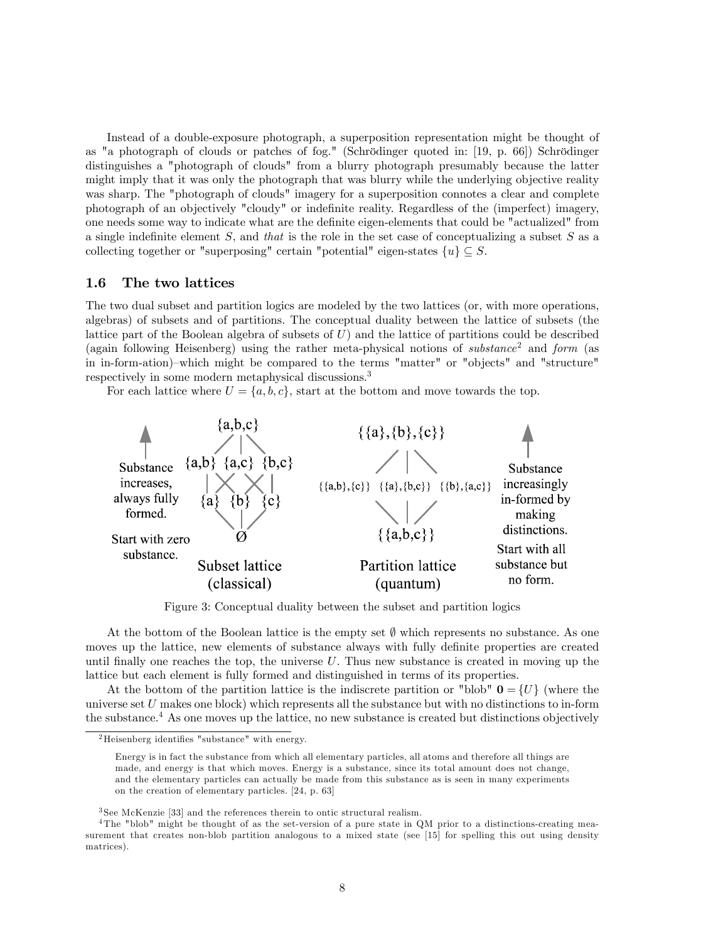Instead of a double-exposure photograph, a superposition representation might be thought of as "a photograph of clouds or patches of fog." (Schrödinger quoted in: [19, p. 66]) Schrödinger distinguishes a "photograph of clouds" from a blurry photograph presumably because the latter might imply that it was only the photograph that was blurry while the underlying objective reality was sharp. The "photograph of clouds" imagery for a superposition connotes a clear and complete photograph of an objectively "cloudy" or indefinite reality. Regardless of the (imperfect) imagery, one needs some way to indicate what are the deÖnite eigen-elements that could be "actualized" from a single indefinite element  $S$ , and that is the role in the set case of conceptualizing a subset  $S$  as a collecting together or "superposing" certain "potential" eigen-states  $\{u\} \subseteq S$ .

## 1.6 The two lattices

The two dual subset and partition logics are modeled by the two lattices (or, with more operations, algebras) of subsets and of partitions. The conceptual duality between the lattice of subsets (the lattice part of the Boolean algebra of subsets of  $U$ ) and the lattice of partitions could be described (again following Heisenberg) using the rather meta-physical notions of substance<sup>2</sup> and form (as in in-form-ation)–which might be compared to the terms "matter" or "objects" and "structure" respectively in some modern metaphysical discussions.<sup>3</sup>

For each lattice where  $U = \{a, b, c\}$ , start at the bottom and move towards the top.



Figure 3: Conceptual duality between the subset and partition logics

At the bottom of the Boolean lattice is the empty set  $\emptyset$  which represents no substance. As one moves up the lattice, new elements of substance always with fully definite properties are created until finally one reaches the top, the universe  $U$ . Thus new substance is created in moving up the lattice but each element is fully formed and distinguished in terms of its properties.

At the bottom of the partition lattice is the indiscrete partition or "blob"  $\mathbf{0} = \{U\}$  (where the universe set  $U$  makes one block) which represents all the substance but with no distinctions to in-form the substance.<sup>4</sup> As one moves up the lattice, no new substance is created but distinctions objectively

 ${}^{2}$ Heisenberg identifies "substance" with energy.

Energy is in fact the substance from which all elementary particles, all atoms and therefore all things are made, and energy is that which moves. Energy is a substance, since its total amount does not change, and the elementary particles can actually be made from this substance as is seen in many experiments on the creation of elementary particles. [24, p. 63]

<sup>&</sup>lt;sup>3</sup>See McKenzie [33] and the references therein to ontic structural realism.

<sup>&</sup>lt;sup>4</sup>The "blob" might be thought of as the set-version of a pure state in QM prior to a distinctions-creating measurement that creates non-blob partition analogous to a mixed state (see [15] for spelling this out using density matrices).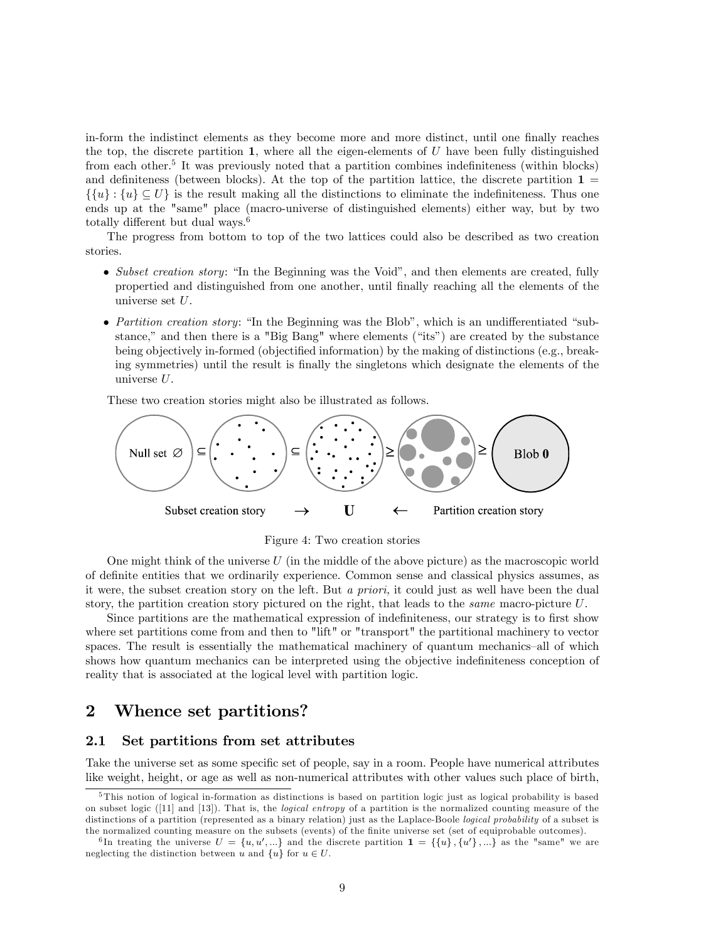in-form the indistinct elements as they become more and more distinct, until one finally reaches the top, the discrete partition 1, where all the eigen-elements of  $U$  have been fully distinguished from each other.<sup>5</sup> It was previously noted that a partition combines indefiniteness (within blocks) and definiteness (between blocks). At the top of the partition lattice, the discrete partition  $\mathbf{1} =$  $\{\{u\} : \{u\} \subseteq U\}$  is the result making all the distinctions to eliminate the indefiniteness. Thus one ends up at the "same" place (macro-universe of distinguished elements) either way, but by two totally different but dual ways.<sup>6</sup>

The progress from bottom to top of the two lattices could also be described as two creation stories.

- $\bullet$  Subset creation story: "In the Beginning was the Void", and then elements are created, fully propertied and distinguished from one another, until Önally reaching all the elements of the universe set U.
- Partition creation story: "In the Beginning was the Blob", which is an undifferentiated "substance," and then there is a "Big Bang" where elements ("its") are created by the substance being objectively in-formed (objectified information) by the making of distinctions (e.g., breaking symmetries) until the result is finally the singletons which designate the elements of the universe U.

These two creation stories might also be illustrated as follows.



Figure 4: Two creation stories

One might think of the universe  $U$  (in the middle of the above picture) as the macroscopic world of deÖnite entities that we ordinarily experience. Common sense and classical physics assumes, as it were, the subset creation story on the left. But a priori, it could just as well have been the dual story, the partition creation story pictured on the right, that leads to the same macro-picture U.

Since partitions are the mathematical expression of indefiniteness, our strategy is to first show where set partitions come from and then to "lift" or "transport" the partitional machinery to vector spaces. The result is essentially the mathematical machinery of quantum mechanics-all of which shows how quantum mechanics can be interpreted using the objective indefiniteness conception of reality that is associated at the logical level with partition logic.

# 2 Whence set partitions?

### 2.1 Set partitions from set attributes

Take the universe set as some specific set of people, say in a room. People have numerical attributes like weight, height, or age as well as non-numerical attributes with other values such place of birth,

 $5$ This notion of logical in-formation as distinctions is based on partition logic just as logical probability is based on subset logic ([11] and [13]). That is, the *logical entropy* of a partition is the normalized counting measure of the distinctions of a partition (represented as a binary relation) just as the Laplace-Boole logical probability of a subset is the normalized counting measure on the subsets (events) of the finite universe set (set of equiprobable outcomes).

<sup>&</sup>lt;sup>6</sup>In treating the universe  $U = \{u, u', ...\}$  and the discrete partition  $\mathbf{1} = \{\{u\}, \{u'\}, ...\}$  as the "same" we are neglecting the distinction between u and  $\{u\}$  for  $u \in U$ .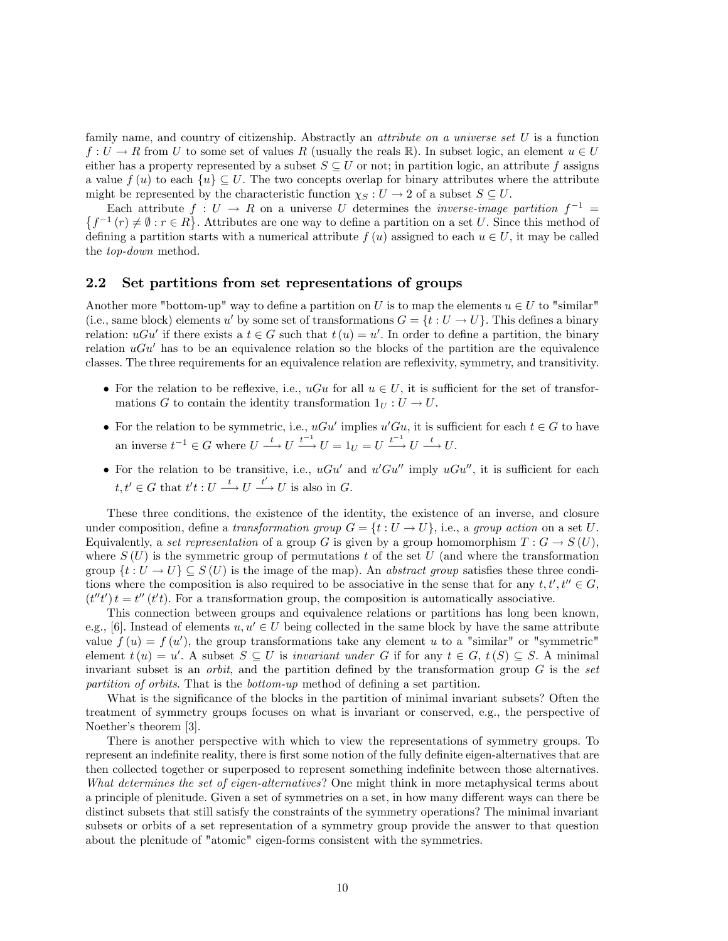family name, and country of citizenship. Abstractly an *attribute on a universe set U* is a function  $f: U \to R$  from U to some set of values R (usually the reals R). In subset logic, an element  $u \in U$ either has a property represented by a subset  $S \subseteq U$  or not; in partition logic, an attribute f assigns a value  $f(u)$  to each  $\{u\} \subseteq U$ . The two concepts overlap for binary attributes where the attribute might be represented by the characteristic function  $\chi_S : U \to 2$  of a subset  $S \subseteq U$ .

Each attribute  $f: U \to R$  on a universe U determines the *inverse-image partition*  $f^{-1} =$ <br> $\{f^{-1}(r) \neq \emptyset : r \in R\}$ . Attributes are one way to define a partition on a set U. Since this method of  $f^{-1}(r) \neq \emptyset$ :  $r \in R$ . Attributes are one way to define a partition on a set U. Since this method of defining a partition starts with a numerical attribute  $f(u)$  assigned to each  $u \in U$ , it may be called the top-down method.

### 2.2 Set partitions from set representations of groups

Another more "bottom-up" way to define a partition on U is to map the elements  $u \in U$  to "similar" (i.e., same block) elements u' by some set of transformations  $G = \{t : U \to U\}$ . This defines a binary relation:  $uGu'$  if there exists a  $t \in G$  such that  $t(u) = u'$ . In order to define a partition, the binary relation  $uGu'$  has to be an equivalence relation so the blocks of the partition are the equivalence classes. The three requirements for an equivalence relation are reáexivity, symmetry, and transitivity.

- For the relation to be reflexive, i.e.,  $uGu$  for all  $u \in U$ , it is sufficient for the set of transformations G to contain the identity transformation  $1_U : U \to U$ .
- For the relation to be symmetric, i.e.,  $uGu'$  implies  $u'Gu$ , it is sufficient for each  $t \in G$  to have an inverse  $t^{-1} \in G$  where  $U \xrightarrow{t} U \xrightarrow{t^{-1}} U = 1_U = U \xrightarrow{t^{-1}} U \xrightarrow{t} U$ .
- For the relation to be transitive, i.e.,  $uGu'$  and  $u'Gu''$  imply  $uGu''$ , it is sufficient for each  $t, t' \in G$  that  $t't : U \longrightarrow U \longrightarrow U$  is also in G.

These three conditions, the existence of the identity, the existence of an inverse, and closure under composition, define a transformation group  $G = \{t : U \to U\}$ , i.e., a group action on a set U. Equivalently, a set representation of a group G is given by a group homomorphism  $T: G \to S(U)$ , where  $S(U)$  is the symmetric group of permutations t of the set U (and where the transformation group  $\{t : U \to U\} \subseteq S(U)$  is the image of the map). An *abstract group* satisfies these three conditions where the composition is also required to be associative in the sense that for any  $t, t', t'' \in G$ ,  $(t''t')t = t''(t't)$ . For a transformation group, the composition is automatically associative.

This connection between groups and equivalence relations or partitions has long been known, e.g., [6]. Instead of elements  $u, u' \in U$  being collected in the same block by have the same attribute value  $f(u) = f(u')$ , the group transformations take any element u to a "similar" or "symmetric" element  $t(u) = u'$ . A subset  $S \subseteq U$  is *invariant under* G if for any  $t \in G$ ,  $t(S) \subseteq S$ . A minimal invariant subset is an *orbit*, and the partition defined by the transformation group  $G$  is the set partition of orbits. That is the bottom-up method of defining a set partition.

What is the significance of the blocks in the partition of minimal invariant subsets? Often the treatment of symmetry groups focuses on what is invariant or conserved, e.g., the perspective of Noether's theorem [3].

There is another perspective with which to view the representations of symmetry groups. To represent an indefinite reality, there is first some notion of the fully definite eigen-alternatives that are then collected together or superposed to represent something indefinite between those alternatives. What determines the set of eigen-alternatives? One might think in more metaphysical terms about a principle of plenitude. Given a set of symmetries on a set, in how many different ways can there be distinct subsets that still satisfy the constraints of the symmetry operations? The minimal invariant subsets or orbits of a set representation of a symmetry group provide the answer to that question about the plenitude of "atomic" eigen-forms consistent with the symmetries.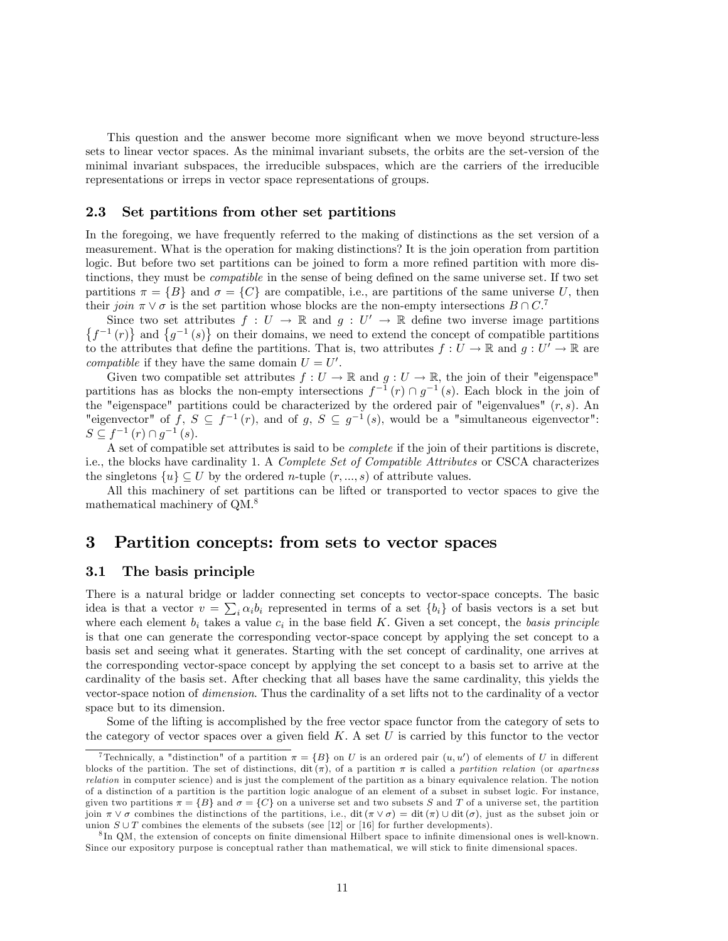This question and the answer become more significant when we move beyond structure-less sets to linear vector spaces. As the minimal invariant subsets, the orbits are the set-version of the minimal invariant subspaces, the irreducible subspaces, which are the carriers of the irreducible representations or irreps in vector space representations of groups.

#### 2.3 Set partitions from other set partitions

In the foregoing, we have frequently referred to the making of distinctions as the set version of a measurement. What is the operation for making distinctions? It is the join operation from partition logic. But before two set partitions can be joined to form a more refined partition with more distinctions, they must be *compatible* in the sense of being defined on the same universe set. If two set partitions  $\pi = \{B\}$  and  $\sigma = \{C\}$  are compatible, i.e., are partitions of the same universe U, then their join  $\pi \vee \sigma$  is the set partition whose blocks are the non-empty intersections  $B \cap C$ .

Since two set attributes  $f: U \to \mathbb{R}$  and  $g: U' \to \mathbb{R}$  define two inverse image partitions  $\{f^{-1}(r)\}\$ and  $\{g^{-1}(s)\}\$ on their domains, we need to extend the concept of compatible partitions to the attributes that define the partitions. That is, two attributes  $f: U \to \mathbb{R}$  and  $g: U' \to \mathbb{R}$  are *compatible* if they have the same domain  $U = U'$ .

Given two compatible set attributes  $f: U \to \mathbb{R}$  and  $g: U \to \mathbb{R}$ , the join of their "eigenspace" partitions has as blocks the non-empty intersections  $f^{-1}(r) \cap g^{-1}(s)$ . Each block in the join of the "eigenspace" partitions could be characterized by the ordered pair of "eigenvalues"  $(r, s)$ . An "eigenvector" of  $f, S \subseteq f^{-1}(r)$ , and of  $g, S \subseteq g^{-1}(s)$ , would be a "simultaneous eigenvector":  $S \subseteq f^{-1}(r) \cap g^{-1}(s)$ .

A set of compatible set attributes is said to be complete if the join of their partitions is discrete, i.e., the blocks have cardinality 1. A Complete Set of Compatible Attributes or CSCA characterizes the singletons  $\{u\} \subseteq U$  by the ordered *n*-tuple  $(r, ..., s)$  of attribute values.

All this machinery of set partitions can be lifted or transported to vector spaces to give the mathematical machinery of QM.<sup>8</sup>

# 3 Partition concepts: from sets to vector spaces

# 3.1 The basis principle

There is a natural bridge or ladder connecting set concepts to vector-space concepts. The basic idea is that a vector  $v = \sum_i \alpha_i b_i$  represented in terms of a set  $\{b_i\}$  of basis vectors is a set but where each element  $b_i$  takes a value  $c_i$  in the base field K. Given a set concept, the basis principle is that one can generate the corresponding vector-space concept by applying the set concept to a basis set and seeing what it generates. Starting with the set concept of cardinality, one arrives at the corresponding vector-space concept by applying the set concept to a basis set to arrive at the cardinality of the basis set. After checking that all bases have the same cardinality, this yields the vector-space notion of dimension. Thus the cardinality of a set lifts not to the cardinality of a vector space but to its dimension.

Some of the lifting is accomplished by the free vector space functor from the category of sets to the category of vector spaces over a given field  $K$ . A set  $U$  is carried by this functor to the vector

<sup>&</sup>lt;sup>7</sup> Technically, a "distinction" of a partition  $\pi = \{B\}$  on U is an ordered pair  $(u, u')$  of elements of U in different blocks of the partition. The set of distinctions,  $\mathrm{dit}(\pi)$ , of a partition  $\pi$  is called a partition relation (or apartness relation in computer science) and is just the complement of the partition as a binary equivalence relation. The notion of a distinction of a partition is the partition logic analogue of an element of a subset in subset logic. For instance, given two partitions  $\pi = \{B\}$  and  $\sigma = \{C\}$  on a universe set and two subsets S and T of a universe set, the partition join  $\pi \vee \sigma$  combines the distinctions of the partitions, i.e., dit  $(\pi \vee \sigma) = \text{dit}(\pi) \cup \text{dit}(\sigma)$ , just as the subset join or union  $S \cup T$  combines the elements of the subsets (see [12] or [16] for further developments).

<sup>&</sup>lt;sup>8</sup>In QM, the extension of concepts on finite dimensional Hilbert space to infinite dimensional ones is well-known. Since our expository purpose is conceptual rather than mathematical, we will stick to finite dimensional spaces.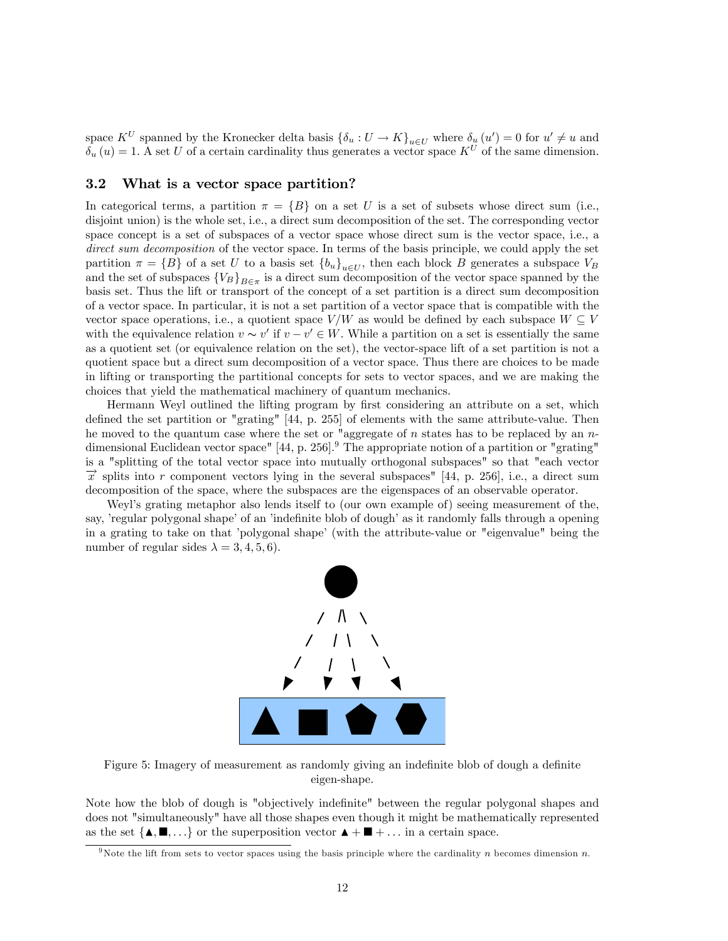space  $K^U$  spanned by the Kronecker delta basis  $\{\delta_u : U \to K\}_{u \in U}$  where  $\delta_u(u') = 0$  for  $u' \neq u$  and  $\delta_u(u) = 1$ . A set U of a certain cardinality thus generates a vector space  $K^U$  of the same dimension.

### 3.2 What is a vector space partition?

In categorical terms, a partition  $\pi = \{B\}$  on a set U is a set of subsets whose direct sum (i.e., disjoint union) is the whole set, i.e., a direct sum decomposition of the set. The corresponding vector space concept is a set of subspaces of a vector space whose direct sum is the vector space, i.e., a direct sum decomposition of the vector space. In terms of the basis principle, we could apply the set partition  $\pi = \{B\}$  of a set U to a basis set  $\{b_u\}_{u \in U}$ , then each block B generates a subspace  $V_B$ and the set of subspaces  ${V_B}_{B \in \pi}$  is a direct sum decomposition of the vector space spanned by the basis set. Thus the lift or transport of the concept of a set partition is a direct sum decomposition of a vector space. In particular, it is not a set partition of a vector space that is compatible with the vector space operations, i.e., a quotient space  $V/W$  as would be defined by each subspace  $W \subseteq V$ with the equivalence relation  $v \sim v'$  if  $v - v' \in W$ . While a partition on a set is essentially the same as a quotient set (or equivalence relation on the set), the vector-space lift of a set partition is not a quotient space but a direct sum decomposition of a vector space. Thus there are choices to be made in lifting or transporting the partitional concepts for sets to vector spaces, and we are making the choices that yield the mathematical machinery of quantum mechanics.

Hermann Weyl outlined the lifting program by first considering an attribute on a set, which defined the set partition or "grating" [44, p. 255] of elements with the same attribute-value. Then he moved to the quantum case where the set or "aggregate of  $n$  states has to be replaced by an  $n$ dimensional Euclidean vector space" [44, p. 256].<sup>9</sup> The appropriate notion of a partition or "grating" is a "splitting of the total vector space into mutually orthogonal subspaces" so that "each vector  $\vec{x}$  splits into r component vectors lying in the several subspaces" [44, p. 256], i.e., a direct sum decomposition of the space, where the subspaces are the eigenspaces of an observable operator.

Weylís grating metaphor also lends itself to (our own example of) seeing measurement of the, say, 'regular polygonal shape' of an 'indefinite blob of dough' as it randomly falls through a opening in a grating to take on that 'polygonal shape' (with the attribute-value or "eigenvalue" being the number of regular sides  $\lambda = 3, 4, 5, 6$ .



Figure 5: Imagery of measurement as randomly giving an indefinite blob of dough a definite eigen-shape.

Note how the blob of dough is "objectively indefinite" between the regular polygonal shapes and does not "simultaneously" have all those shapes even though it might be mathematically represented as the set  $\{A, \blacksquare, \ldots\}$  or the superposition vector  $A + \blacksquare + \ldots$  in a certain space.

<sup>&</sup>lt;sup>9</sup>Note the lift from sets to vector spaces using the basis principle where the cardinality n becomes dimension n.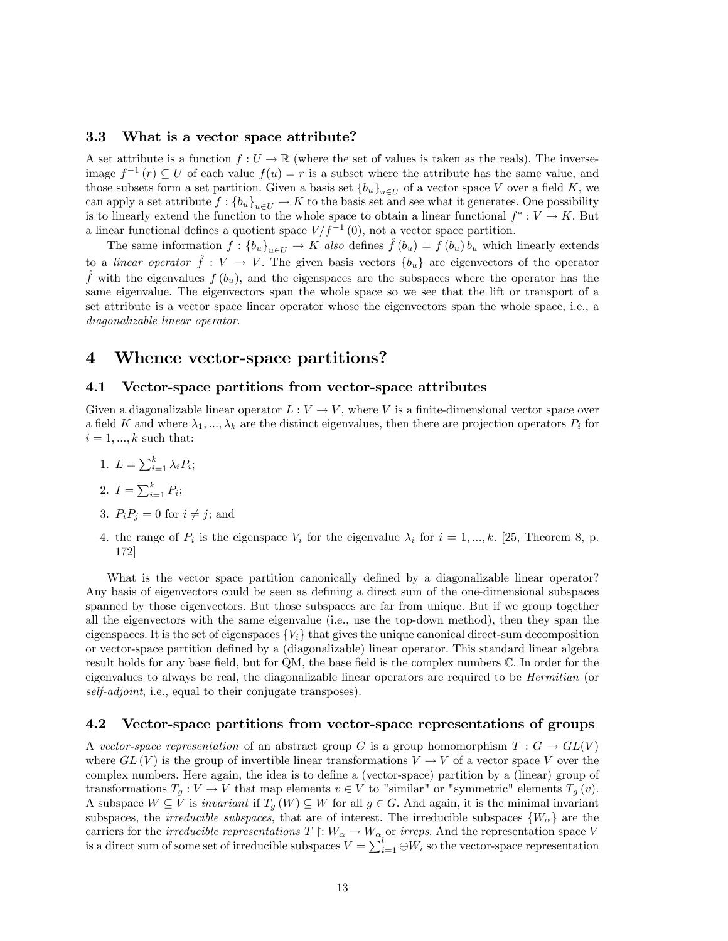#### 3.3 What is a vector space attribute?

A set attribute is a function  $f: U \to \mathbb{R}$  (where the set of values is taken as the reals). The inverseimage  $f^{-1}(r) \subseteq U$  of each value  $f(u) = r$  is a subset where the attribute has the same value, and those subsets form a set partition. Given a basis set  ${b_u}_{u \in U}$  of a vector space V over a field K, we can apply a set attribute  $f: \{b_u\}_{u\in U} \to K$  to the basis set and see what it generates. One possibility is to linearly extend the function to the whole space to obtain a linear functional  $f^*: V \to K$ . But a linear functional defines a quotient space  $V/f^{-1}(0)$ , not a vector space partition.

The same information  $f: \{b_u\}_{u\in U} \to K$  also defines  $\hat{f}(b_u) = f(b_u) b_u$  which linearly extends to a linear operator  $\hat{f} : V \to V$ . The given basis vectors  $\{b_u\}$  are eigenvectors of the operator f with the eigenvalues  $f (b_u)$ , and the eigenspaces are the subspaces where the operator has the same eigenvalue. The eigenvectors span the whole space so we see that the lift or transport of a set attribute is a vector space linear operator whose the eigenvectors span the whole space, i.e., a diagonalizable linear operator.

# 4 Whence vector-space partitions?

#### 4.1 Vector-space partitions from vector-space attributes

Given a diagonalizable linear operator  $L: V \to V$ , where V is a finite-dimensional vector space over a field K and where  $\lambda_1, ..., \lambda_k$  are the distinct eigenvalues, then there are projection operators  $P_i$  for  $i = 1, ..., k$  such that:

1.  $L = \sum_{i=1}^{k} \lambda_i P_i;$ 

2. 
$$
I = \sum_{i=1}^{k} P_i;
$$

- 3.  $P_i P_j = 0$  for  $i \neq j$ ; and
- 4. the range of  $P_i$  is the eigenspace  $V_i$  for the eigenvalue  $\lambda_i$  for  $i = 1, ..., k$ . [25, Theorem 8, p. 172]

What is the vector space partition canonically defined by a diagonalizable linear operator? Any basis of eigenvectors could be seen as defining a direct sum of the one-dimensional subspaces spanned by those eigenvectors. But those subspaces are far from unique. But if we group together all the eigenvectors with the same eigenvalue (i.e., use the top-down method), then they span the eigenspaces. It is the set of eigenspaces  $\{V_i\}$  that gives the unique canonical direct-sum decomposition or vector-space partition defined by a (diagonalizable) linear operator. This standard linear algebra result holds for any base field, but for  $QM$ , the base field is the complex numbers  $\mathbb C$ . In order for the eigenvalues to always be real, the diagonalizable linear operators are required to be Hermitian (or self-adjoint, i.e., equal to their conjugate transposes).

### 4.2 Vector-space partitions from vector-space representations of groups

A vector-space representation of an abstract group G is a group homomorphism  $T: G \to GL(V)$ where  $GL(V)$  is the group of invertible linear transformations  $V \to V$  of a vector space V over the complex numbers. Here again, the idea is to define a (vector-space) partition by a (linear) group of transformations  $T_g: V \to V$  that map elements  $v \in V$  to "similar" or "symmetric" elements  $T_g(v)$ . A subspace  $W \subseteq V$  is *invariant* if  $T_g(W) \subseteq W$  for all  $g \in G$ . And again, it is the minimal invariant subspaces, the *irreducible subspaces*, that are of interest. The irreducible subspaces  $\{W_{\alpha}\}\$ are the carriers for the *irreducible representations*  $T \restriction W_\alpha \to W_\alpha$  or *irreps*. And the representation space V is a direct sum of some set of irreducible subspaces  $V = \sum_{i=1}^{l} \bigoplus W_i$  so the vector-space representation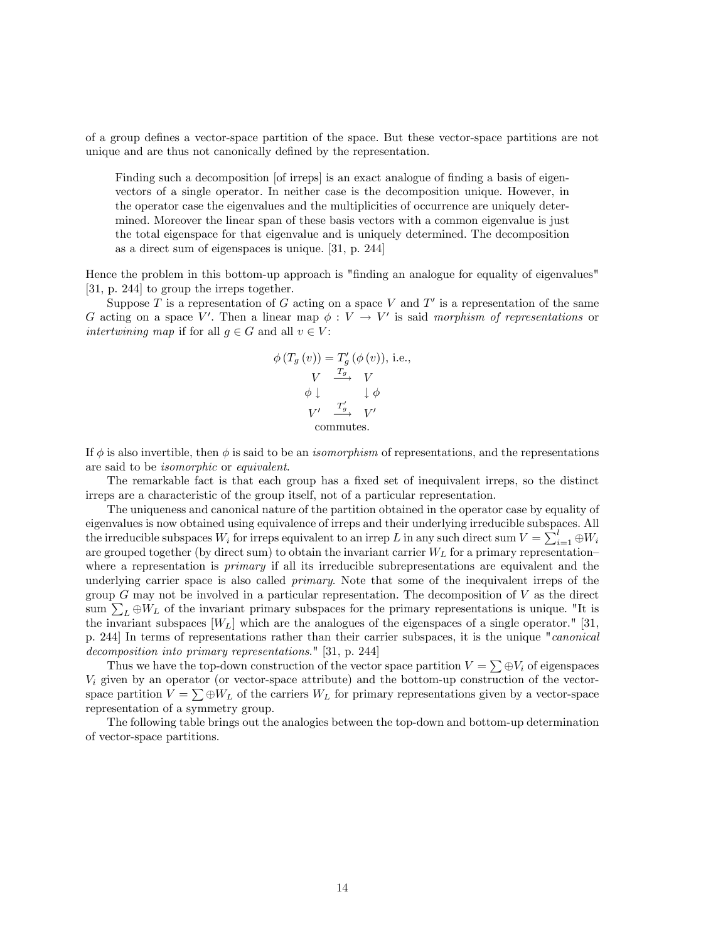of a group deÖnes a vector-space partition of the space. But these vector-space partitions are not unique and are thus not canonically defined by the representation.

Finding such a decomposition [of irreps] is an exact analogue of finding a basis of eigenvectors of a single operator. In neither case is the decomposition unique. However, in the operator case the eigenvalues and the multiplicities of occurrence are uniquely determined. Moreover the linear span of these basis vectors with a common eigenvalue is just the total eigenspace for that eigenvalue and is uniquely determined. The decomposition as a direct sum of eigenspaces is unique. [31, p. 244]

Hence the problem in this bottom-up approach is "finding an analogue for equality of eigenvalues" [31, p. 244] to group the irreps together.

Suppose T is a representation of G acting on a space V and  $T'$  is a representation of the same G acting on a space V'. Then a linear map  $\phi : V \to V'$  is said morphism of representations or intertwining map if for all  $g \in G$  and all  $v \in V$ :

$$
\phi(T_g(v)) = T'_g(\phi(v)), \text{ i.e.,}
$$
  
\n
$$
V \xrightarrow{T_g} V
$$
  
\n
$$
\phi \downarrow \qquad \qquad \downarrow \phi
$$
  
\n
$$
V' \xrightarrow{T'_g} V'
$$
  
\ncommutes.

If  $\phi$  is also invertible, then  $\phi$  is said to be an *isomorphism* of representations, and the representations are said to be isomorphic or equivalent.

The remarkable fact is that each group has a fixed set of inequivalent irreps, so the distinct irreps are a characteristic of the group itself, not of a particular representation.

The uniqueness and canonical nature of the partition obtained in the operator case by equality of eigenvalues is now obtained using equivalence of irreps and their underlying irreducible subspaces. All the irreducible subspaces  $W_i$  for irreps equivalent to an irrep L in any such direct sum  $V = \sum_{i=1}^{l} \oplus W_i$ are grouped together (by direct sum) to obtain the invariant carrier  $W_L$  for a primary representationwhere a representation is *primary* if all its irreducible subrepresentations are equivalent and the underlying carrier space is also called *primary*. Note that some of the inequivalent irreps of the group  $G$  may not be involved in a particular representation. The decomposition of  $V$  as the direct sum  $\sum_{L} \oplus W_L$  of the invariant primary subspaces for the primary representations is unique. "It is the invariant subspaces  $[W_L]$  which are the analogues of the eigenspaces of a single operator." [31, p. 244] In terms of representations rather than their carrier subspaces, it is the unique "canonical decomposition into primary representations." [31, p. 244]

Thus we have the top-down construction of the vector space partition  $V = \sum \oplus V_i$  of eigenspaces  $V_i$  given by an operator (or vector-space attribute) and the bottom-up construction of the vectorspace partition  $V = \sum \oplus W_L$  of the carriers  $W_L$  for primary representations given by a vector-space representation of a symmetry group.

The following table brings out the analogies between the top-down and bottom-up determination of vector-space partitions.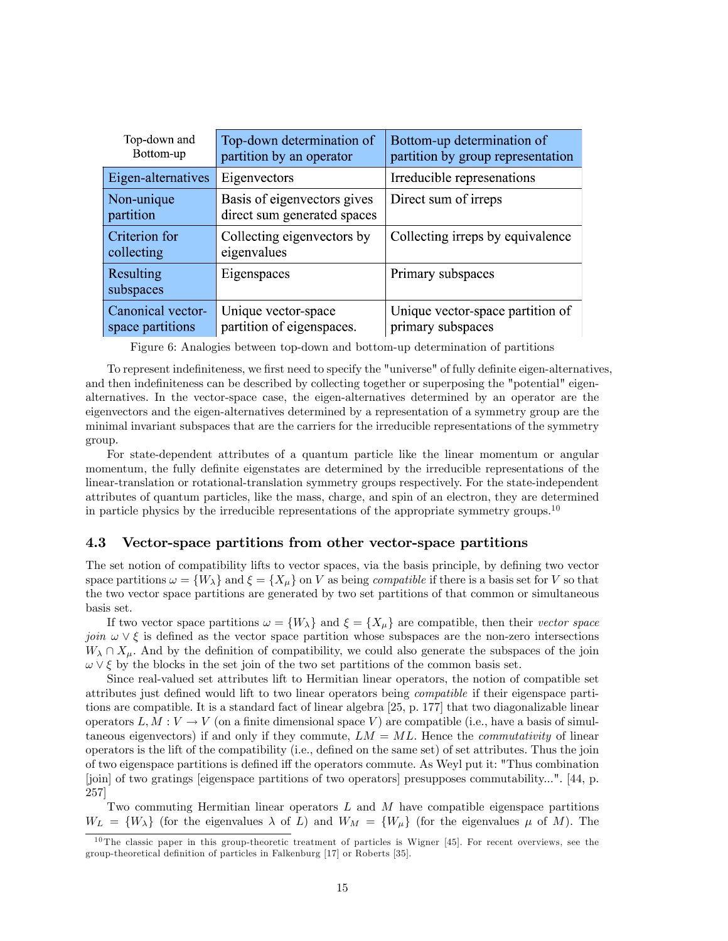| Top-down and<br>Bottom-up             | Top-down determination of<br>partition by an operator      | Bottom-up determination of<br>partition by group representation |
|---------------------------------------|------------------------------------------------------------|-----------------------------------------------------------------|
| Eigen-alternatives                    | Eigenvectors                                               | Irreducible represenations                                      |
| Non-unique<br>partition               | Basis of eigenvectors gives<br>direct sum generated spaces | Direct sum of irreps                                            |
| Criterion for<br>collecting           | Collecting eigenvectors by<br>eigenvalues                  | Collecting irreps by equivalence                                |
| Resulting<br>subspaces                | Eigenspaces                                                | Primary subspaces                                               |
| Canonical vector-<br>space partitions | Unique vector-space<br>partition of eigenspaces.           | Unique vector-space partition of<br>primary subspaces           |

Figure 6: Analogies between top-down and bottom-up determination of partitions

To represent indefiniteness, we first need to specify the "universe" of fully definite eigen-alternatives, and then indefiniteness can be described by collecting together or superposing the "potential" eigenalternatives. In the vector-space case, the eigen-alternatives determined by an operator are the eigenvectors and the eigen-alternatives determined by a representation of a symmetry group are the minimal invariant subspaces that are the carriers for the irreducible representations of the symmetry group.

For state-dependent attributes of a quantum particle like the linear momentum or angular momentum, the fully definite eigenstates are determined by the irreducible representations of the linear-translation or rotational-translation symmetry groups respectively. For the state-independent attributes of quantum particles, like the mass, charge, and spin of an electron, they are determined in particle physics by the irreducible representations of the appropriate symmetry groups.<sup>10</sup>

# 4.3 Vector-space partitions from other vector-space partitions

The set notion of compatibility lifts to vector spaces, via the basis principle, by defining two vector space partitions  $\omega = \{W_\lambda\}$  and  $\xi = \{X_\mu\}$  on V as being *compatible* if there is a basis set for V so that the two vector space partitions are generated by two set partitions of that common or simultaneous basis set.

If two vector space partitions  $\omega = \{W_{\lambda}\}\$ and  $\xi = \{X_{\mu}\}\$ are compatible, then their vector space join  $\omega \vee \xi$  is defined as the vector space partition whose subspaces are the non-zero intersections  $W_{\lambda} \cap X_{\mu}$ . And by the definition of compatibility, we could also generate the subspaces of the join  $\omega \vee \xi$  by the blocks in the set join of the two set partitions of the common basis set.

Since real-valued set attributes lift to Hermitian linear operators, the notion of compatible set attributes just defined would lift to two linear operators being *compatible* if their eigenspace partitions are compatible. It is a standard fact of linear algebra [25, p. 177] that two diagonalizable linear operators  $L, M : V \to V$  (on a finite dimensional space V) are compatible (i.e., have a basis of simultaneous eigenvectors) if and only if they commute,  $LM = ML$ . Hence the *commutativity* of linear operators is the lift of the compatibility (i.e., defined on the same set) of set attributes. Thus the join of two eigenspace partitions is defined iff the operators commute. As Weyl put it: "Thus combination [join] of two gratings [eigenspace partitions of two operators] presupposes commutability...". [44, p. 257]

Two commuting Hermitian linear operators  $L$  and  $M$  have compatible eigenspace partitions  $W_L = \{W_\lambda\}$  (for the eigenvalues  $\lambda$  of L) and  $W_M = \{W_\mu\}$  (for the eigenvalues  $\mu$  of M). The

<sup>10</sup> The classic paper in this group-theoretic treatment of particles is Wigner [45]. For recent overviews, see the group-theoretical definition of particles in Falkenburg [17] or Roberts [35].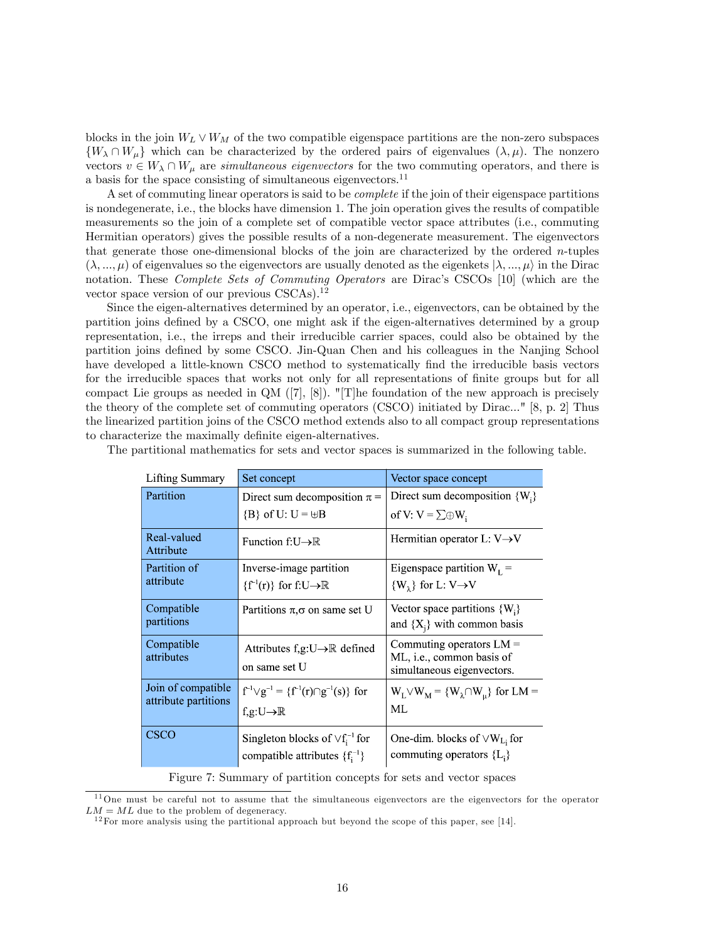blocks in the join  $W_L \vee W_M$  of the two compatible eigenspace partitions are the non-zero subspaces  $\{W_{\lambda} \cap W_{\mu}\}\$  which can be characterized by the ordered pairs of eigenvalues  $(\lambda, \mu)$ . The nonzero vectors  $v \in W_{\lambda} \cap W_{\mu}$  are simultaneous eigenvectors for the two commuting operators, and there is a basis for the space consisting of simultaneous eigenvectors.<sup>11</sup>

A set of commuting linear operators is said to be complete if the join of their eigenspace partitions is nondegenerate, i.e., the blocks have dimension 1. The join operation gives the results of compatible measurements so the join of a complete set of compatible vector space attributes (i.e., commuting Hermitian operators) gives the possible results of a non-degenerate measurement. The eigenvectors that generate those one-dimensional blocks of the join are characterized by the ordered  $n$ -tuples  $(\lambda, ..., \mu)$  of eigenvalues so the eigenvectors are usually denoted as the eigenkets  $|\lambda, ..., \mu\rangle$  in the Dirac notation. These *Complete Sets of Commuting Operators* are Dirac's CSCOs [10] (which are the vector space version of our previous CSCAs).<sup>12</sup>

Since the eigen-alternatives determined by an operator, i.e., eigenvectors, can be obtained by the partition joins defined by a CSCO, one might ask if the eigen-alternatives determined by a group representation, i.e., the irreps and their irreducible carrier spaces, could also be obtained by the partition joins defined by some CSCO. Jin-Quan Chen and his colleagues in the Nanjing School have developed a little-known CSCO method to systematically find the irreducible basis vectors for the irreducible spaces that works not only for all representations of finite groups but for all compact Lie groups as needed in  $QM$  ([7], [8]). "[T]he foundation of the new approach is precisely the theory of the complete set of commuting operators (CSCO) initiated by Dirac..." [8, p. 2] Thus the linearized partition joins of the CSCO method extends also to all compact group representations to characterize the maximally definite eigen-alternatives.

| Lifting Summary          | Set concept                                              | Vector space concept                                    |
|--------------------------|----------------------------------------------------------|---------------------------------------------------------|
| Partition                | Direct sum decomposition $\pi$ =                         | Direct sum decomposition $\{W_i\}$                      |
|                          | ${B}$ of U: U = $\biguplus$ B                            | of V: $V = \sum \oplus W_i$                             |
| Real-valued<br>Attribute | Function $f:U\rightarrow\mathbb{R}$                      | Hermitian operator $L: V \rightarrow V$                 |
| Partition of             | Inverse-image partition                                  | Eigenspace partition $W_L$ =                            |
| attribute                | $\{f^{-1}(r)\}\$ for f:U $\rightarrow \mathbb{R}$        | $\{W_2\}$ for L: V $\rightarrow$ V                      |
| Compatible               | Partitions $\pi, \sigma$ on same set U                   | Vector space partitions $\{W_i\}$                       |
| partitions               |                                                          | and $\{X_i\}$ with common basis                         |
| Compatible               | Attributes f,g:U $\rightarrow \mathbb{R}$ defined        | Commuting operators $LM =$                              |
| attributes               | on same set U                                            | ML, i.e., common basis of<br>simultaneous eigenvectors. |
| Join of compatible       | $f^{-1} \vee g^{-1} = \{f^{-1}(r) \cap g^{-1}(s)\}\$ for | $W_L \vee W_M = \{W_{\lambda} \cap W_{\mu}\}\$ for LM = |
| attribute partitions     | f,g:U $\rightarrow \mathbb{R}$                           | МL                                                      |
| <b>CSCO</b>              | Singleton blocks of $\vee f_i^{-1}$ for                  | One-dim. blocks of $\vee W_{L}$ for                     |
|                          | compatible attributes $\{f_i^{-1}\}$                     | commuting operators ${L_i}$                             |

The partitional mathematics for sets and vector spaces is summarized in the following table.

Figure 7: Summary of partition concepts for sets and vector spaces

<sup>11</sup>One must be careful not to assume that the simultaneous eigenvectors are the eigenvectors for the operator  $LM = ML$  due to the problem of degeneracy.

 $12$  For more analysis using the partitional approach but beyond the scope of this paper, see [14].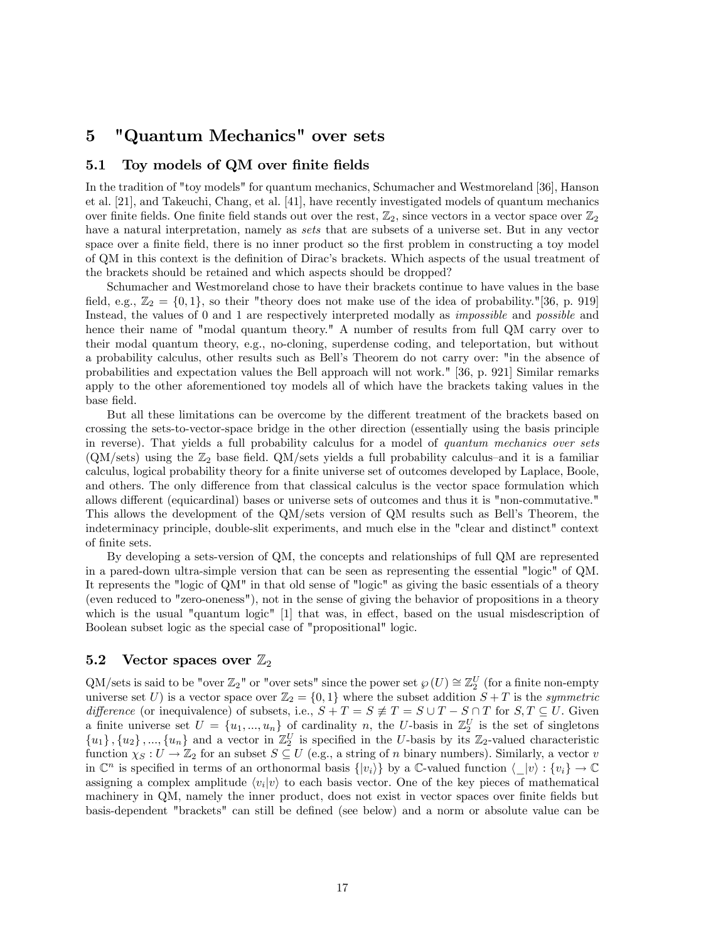# 5 "Quantum Mechanics" over sets

# 5.1 Toy models of QM over finite fields

In the tradition of "toy models" for quantum mechanics, Schumacher and Westmoreland [36], Hanson et al. [21], and Takeuchi, Chang, et al. [41], have recently investigated models of quantum mechanics over finite fields. One finite field stands out over the rest,  $\mathbb{Z}_2$ , since vectors in a vector space over  $\mathbb{Z}_2$ have a natural interpretation, namely as *sets* that are subsets of a universe set. But in any vector space over a finite field, there is no inner product so the first problem in constructing a toy model of QM in this context is the definition of Dirac's brackets. Which aspects of the usual treatment of the brackets should be retained and which aspects should be dropped?

Schumacher and Westmoreland chose to have their brackets continue to have values in the base field, e.g.,  $\mathbb{Z}_2 = \{0,1\}$ , so their "theory does not make use of the idea of probability."[36, p. 919] Instead, the values of 0 and 1 are respectively interpreted modally as *impossible* and *possible* and hence their name of "modal quantum theory." A number of results from full QM carry over to their modal quantum theory, e.g., no-cloning, superdense coding, and teleportation, but without a probability calculus, other results such as Bellís Theorem do not carry over: "in the absence of probabilities and expectation values the Bell approach will not work." [36, p. 921] Similar remarks apply to the other aforementioned toy models all of which have the brackets taking values in the base Öeld.

But all these limitations can be overcome by the different treatment of the brackets based on crossing the sets-to-vector-space bridge in the other direction (essentially using the basis principle in reverse). That yields a full probability calculus for a model of quantum mechanics over sets  $(QM\)/\text{sets})$  using the  $\mathbb{Z}_2$  base field. QM/sets yields a full probability calculus-and it is a familiar calculus, logical probability theory for a finite universe set of outcomes developed by Laplace, Boole, and others. The only difference from that classical calculus is the vector space formulation which allows different (equicardinal) bases or universe sets of outcomes and thus it is "non-commutative." This allows the development of the QM/sets version of QM results such as Bellís Theorem, the indeterminacy principle, double-slit experiments, and much else in the "clear and distinct" context of finite sets.

By developing a sets-version of QM, the concepts and relationships of full QM are represented in a pared-down ultra-simple version that can be seen as representing the essential "logic" of QM. It represents the "logic of QM" in that old sense of "logic" as giving the basic essentials of a theory (even reduced to "zero-oneness"), not in the sense of giving the behavior of propositions in a theory which is the usual "quantum logic"  $[1]$  that was, in effect, based on the usual misdescription of Boolean subset logic as the special case of "propositional" logic.

# 5.2 Vector spaces over  $\mathbb{Z}_2$

 $QM/\text{sets}$  is said to be "over  $\mathbb{Z}_2$ " or "over sets" since the power set  $\wp(U) \cong \mathbb{Z}_2^U$  (for a finite non-empty universe set U) is a vector space over  $\mathbb{Z}_2 = \{0,1\}$  where the subset addition  $S + T$  is the *symmetric* difference (or inequivalence) of subsets, i.e.,  $S + T = S \neq T = S \cup T - S \cap T$  for  $S, T \subseteq U$ . Given a finite universe set  $U = \{u_1, ..., u_n\}$  of cardinality n, the U-basis in  $\mathbb{Z}_2^U$  is the set of singletons  ${u_1}, {u_2}, ..., {u_n}$  and a vector in  $\mathbb{Z}_2^U$  is specified in the U-basis by its  $\mathbb{Z}_2$ -valued characteristic function  $\chi_S : U \to \mathbb{Z}_2$  for an subset  $S \subseteq U$  (e.g., a string of n binary numbers). Similarly, a vector v in  $\mathbb{C}^n$  is specified in terms of an orthonormal basis  $\{|v_i\rangle\}$  by a  $\mathbb{C}\text{-valued function } \langle |v\rangle : \{v_i\} \to \mathbb{C}$ assigning a complex amplitude  $\langle v_i | v \rangle$  to each basis vector. One of the key pieces of mathematical machinery in QM, namely the inner product, does not exist in vector spaces over finite fields but basis-dependent "brackets" can still be defined (see below) and a norm or absolute value can be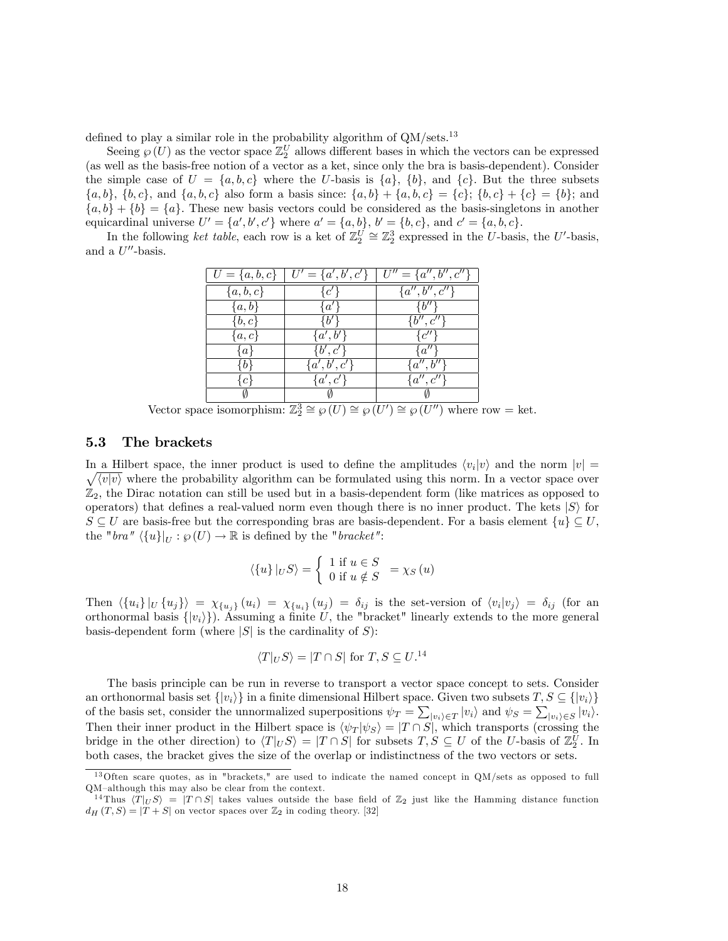defined to play a similar role in the probability algorithm of  $QM/\text{sets}.^{13}$ 

Seeing  $\wp(U)$  as the vector space  $\mathbb{Z}_2^U$  allows different bases in which the vectors can be expressed (as well as the basis-free notion of a vector as a ket, since only the bra is basis-dependent). Consider the simple case of  $U = \{a, b, c\}$  where the U-basis is  $\{a\}$ ,  $\{b\}$ , and  $\{c\}$ . But the three subsets  $\{a, b\}, \{b, c\}, \text{ and } \{a, b, c\}$  also form a basis since:  $\{a, b\} + \{a, b, c\} = \{c\}; \{b, c\} + \{c\} = \{b\}; \text{ and }$  ${a, b} + {b} = {a}$ . These new basis vectors could be considered as the basis-singletons in another equicardinal universe  $U' = \{a', b', c'\}$  where  $a' = \{a, b\}$ ,  $b' = \{b, c\}$ , and  $c' = \{a, b, c\}$ .

In the following ket table, each row is a ket of  $\mathbb{Z}_2^U \cong \mathbb{Z}_2^3$  expressed in the U-basis, the U'-basis, and a  $U''$ -basis.

|               | $U = \{a, b, c\}$   $U' = \{a', b', c'\}$ | $U'' = \{a'', b'', c''\}$ |
|---------------|-------------------------------------------|---------------------------|
| $\{a, b, c\}$ | $\{c'\}$                                  | ${a'',b'',c''}$           |
| $\{a,b\}$     | $\{a'\}$                                  | $\{b^{\prime\prime}\}$    |
| $\{b,c\}$     | $\{b'\}$                                  | $\{b'',c''\}$             |
| $\{a,c\}$     | $\{a',b'\}$                               | $\{c''\}$                 |
| $\{a\}$       | $\{b',c'\}$                               | $\{a^{\prime\prime}\}$    |
| ₹b∤           | $\{a',b',c'\}$                            | $\{a'',b''\}$             |
| ∤c∤           | $\{a',c'\}$                               | $\{a'',c''\}$             |
|               | $\sim$                                    |                           |

Vector space isomorphism:  $\mathbb{Z}_2^3 \cong \wp(U) \cong \wp(U') \cong \wp(U'')$  where row = ket.

#### 5.3 The brackets

In a Hilbert space, the inner product is used to define the amplitudes  $\langle v_i | v \rangle$  and the norm  $|v| =$  $\sqrt{\langle v|v\rangle}$  where the probability algorithm can be formulated using this norm. In a vector space over  $\mathbb{Z}_2$ , the Dirac notation can still be used but in a basis-dependent form (like matrices as opposed to operators) that defines a real-valued norm even though there is no inner product. The kets  $|S\rangle$  for  $S \subseteq U$  are basis-free but the corresponding bras are basis-dependent. For a basis element  $\{u\} \subseteq U$ , the "bra"  $\langle \{u\}\vert_{U} : \wp(U) \to \mathbb{R}$  is defined by the "bracket":

$$
\langle \{u\} |_{U} S \rangle = \begin{cases} 1 \text{ if } u \in S \\ 0 \text{ if } u \notin S \end{cases} = \chi_{S}(u)
$$

Then  $\langle \{u_i\}|_U \{u_j\}\rangle = \chi_{\{u_j\}}(u_i) = \chi_{\{u_i\}}(u_j) = \delta_{ij}$  is the set-version of  $\langle v_i|v_j\rangle = \delta_{ij}$  (for an orthonormal basis  $\{|v_i\rangle\}$ . Assuming a finite U, the "bracket" linearly extends to the more general basis-dependent form (where  $|S|$  is the cardinality of S):

$$
\langle T|_US \rangle = |T \cap S| \text{ for } T, S \subseteq U^{14}
$$

The basis principle can be run in reverse to transport a vector space concept to sets. Consider an orthonormal basis set  $\{|v_i\rangle\}$  in a finite dimensional Hilbert space. Given two subsets  $T, S \subseteq \{|v_i\rangle\}$ of the basis set, consider the unnormalized superpositions  $\psi_T = \sum_{|v_i\rangle \in T} |v_i\rangle$  and  $\psi_S = \sum_{|v_i\rangle \in S} |v_i\rangle$ . Then their inner product in the Hilbert space is  $\langle \psi_T | \psi_S \rangle = |T \cap S|$ , which transports (crossing the bridge in the other direction) to  $\langle T|_US \rangle = |T \cap S|$  for subsets  $T, S \subseteq U$  of the U-basis of  $\mathbb{Z}_2^U$ . In both cases, the bracket gives the size of the overlap or indistinctness of the two vectors or sets.

<sup>13</sup>Often scare quotes, as in "brackets," are used to indicate the named concept in QM/sets as opposed to full QM-although this may also be clear from the context.

<sup>&</sup>lt;sup>14</sup> Thus  $\langle T|_{U} S \rangle = |T \cap S|$  takes values outside the base field of  $\mathbb{Z}_2$  just like the Hamming distance function  $d_H(T, S) = |T + S|$  on vector spaces over  $\mathbb{Z}_2$  in coding theory. [32]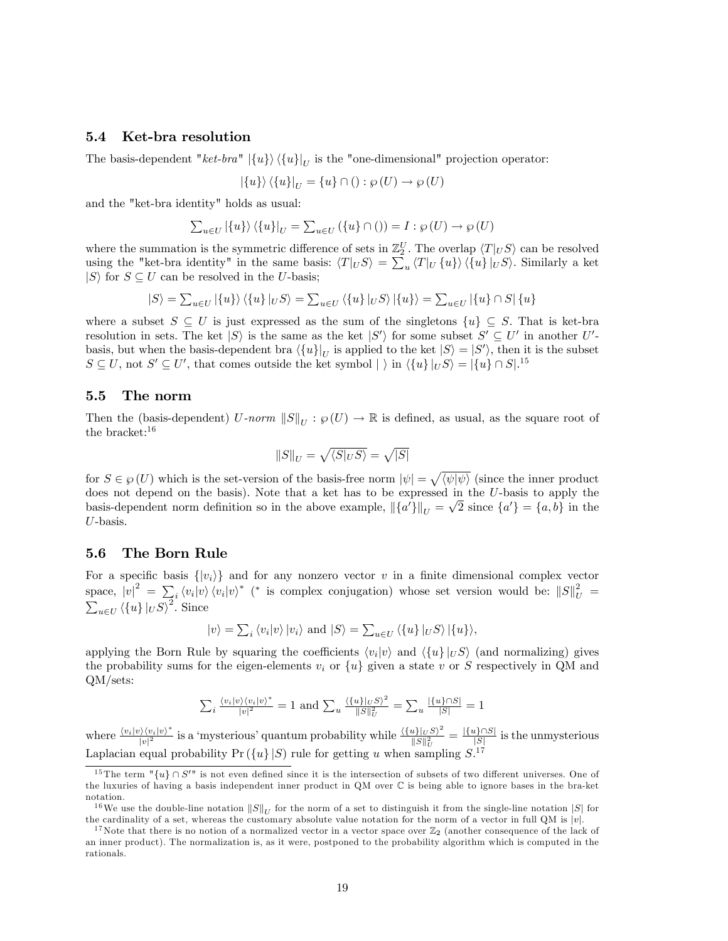## 5.4 Ket-bra resolution

The basis-dependent " $ket-bra$ "  $|\{u\}\rangle \langle \{u\}|_U$  is the "one-dimensional" projection operator:

$$
|\{u\}\rangle \langle \{u\}|_{U} = \{u\} \cap ( ) : \wp (U) \to \wp (U)
$$

and the "ket-bra identity" holds as usual:

$$
\sum_{u \in U} |\{u\}\rangle \langle \{u\}|_{U} = \sum_{u \in U} (\{u\} \cap () ) = I : \wp(U) \to \wp(U)
$$

where the summation is the symmetric difference of sets in  $\mathbb{Z}_2^U$ . The overlap  $\langle T|_U S \rangle$  can be resolved using the "ket-bra identity" in the same basis:  $\langle T|_U S \rangle = \sum_u \langle T|_U \{u\} \rangle \langle \{u\}|_U S \rangle$ . Similarly a ket  $|S\rangle$  for  $S \subseteq U$  can be resolved in the U-basis;

$$
|S\rangle = \sum_{u \in U} |\{u\}\rangle \langle \{u\}|_{U} S \rangle = \sum_{u \in U} \langle \{u\}|_{U} S \rangle |\{u\}\rangle = \sum_{u \in U} |\{u\} \cap S| \{u\}
$$

where a subset  $S \subseteq U$  is just expressed as the sum of the singletons  $\{u\} \subseteq S$ . That is ket-bra resolution in sets. The ket  $|S\rangle$  is the same as the ket  $|S'\rangle$  for some subset  $S' \subseteq U'$  in another U'basis, but when the basis-dependent bra  $\langle \{u\}|_U$  is applied to the ket  $|S\rangle = |S'\rangle$ , then it is the subset  $S \subseteq U$ , not  $S' \subseteq U'$ , that comes outside the ket symbol  $|\rangle$  in  $\langle \{u\} |_{U} S \rangle = |\{u\} \cap S|$ .<sup>15</sup>

## 5.5 The norm

Then the (basis-dependent)  $U\text{-}norm \ \|S\|_U : \wp(U) \to \mathbb{R}$  is defined, as usual, as the square root of the bracket:<sup>16</sup>

$$
\|S\|_U=\sqrt{\langle S|_US\rangle}=\sqrt{|S|}
$$

for  $S \in \wp(U)$  which is the set-version of the basis-free norm  $|\psi| = \sqrt{\langle \psi | \psi \rangle}$  (since the inner product does not depend on the basis). Note that a ket has to be expressed in the U-basis to apply the basis-dependent norm definition so in the above example,  $\|\{a'\}\|_U = \sqrt{2}$  since  $\{a'\} = \{a, b\}$  in the U-basis.

#### 5.6 The Born Rule

For a specific basis  $\{|v_i\rangle\}$  and for any nonzero vector v in a finite dimensional complex vector space,  $|v|^2 = \sum_i \langle v_i | v \rangle \langle v_i | v \rangle^*$  (\* is complex conjugation) whose set version would be:  $||S||_U^2 = \sum_{u \in U} \langle \{u\} |_{U} S \rangle^2$ . Since

$$
|v\rangle = \sum_{i} \langle v_i | v \rangle |v_i\rangle
$$
 and  $|S\rangle = \sum_{u \in U} \langle \{u\} | _U S \rangle | \{u\}\rangle$ ,

applying the Born Rule by squaring the coefficients  $\langle v_i | v \rangle$  and  $\langle \{u\} | _U S \rangle$  (and normalizing) gives the probability sums for the eigen-elements  $v_i$  or  $\{u\}$  given a state v or S respectively in QM and QM/sets:

$$
\sum_{i} \frac{\langle v_i | v \rangle \langle v_i | v \rangle^*}{|v|^2} = 1 \text{ and } \sum_{u} \frac{\langle \{u\} | v S \rangle^2}{\|S\|_U^2} = \sum_{u} \frac{|\{u\} \cap S|}{|S|} = 1
$$

where  $\frac{\langle v_i | v \rangle \langle v_i | v \rangle^*}{|v|^2}$  $\frac{\partial \langle v_i | v \rangle^*}{|v|^2}$  is a 'mysterious' quantum probability while  $\frac{\langle \{u\}|_{U}S \rangle^2}{\|S\|_{U}^2}$  $\frac{||u||_{U}S\rangle^2}{||S||_{U}^2} = \frac{|\{u\}\cap S|}{|S|}$  $\frac{[S^{\dagger} \mid S]}{[S]}$  is the unmysterious Laplacian equal probability  $Pr(\lbrace u \rbrace | S)$  rule for getting u when sampling  $S^{17}$ 

<sup>&</sup>lt;sup>15</sup> The term  $"\{u\} \cap S''$  is not even defined since it is the intersection of subsets of two different universes. One of the luxuries of having a basis independent inner product in QM over C is being able to ignore bases in the bra-ket notation.

<sup>&</sup>lt;sup>16</sup>We use the double-line notation  $||S||_{II}$  for the norm of a set to distinguish it from the single-line notation  $|S|$  for the cardinality of a set, whereas the customary absolute value notation for the norm of a vector in full QM is  $|v|$ .

<sup>&</sup>lt;sup>17</sup>Note that there is no notion of a normalized vector in a vector space over  $\mathbb{Z}_2$  (another consequence of the lack of an inner product). The normalization is, as it were, postponed to the probability algorithm which is computed in the rationals.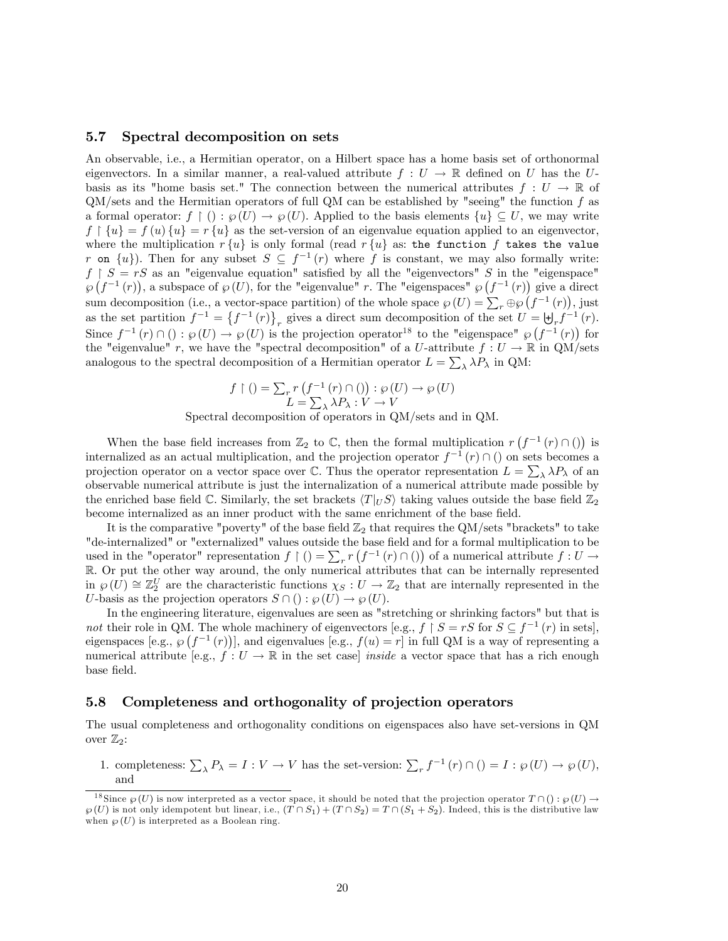### 5.7 Spectral decomposition on sets

An observable, i.e., a Hermitian operator, on a Hilbert space has a home basis set of orthonormal eigenvectors. In a similar manner, a real-valued attribute  $f: U \to \mathbb{R}$  defined on U has the Ubasis as its "home basis set." The connection between the numerical attributes  $f: U \to \mathbb{R}$  of  $QM/\text{sets}$  and the Hermitian operators of full QM can be established by "seeing" the function f as a formal operator:  $f \restriction (): \wp(U) \to \wp(U)$ . Applied to the basis elements  $\{u\} \subseteq U$ , we may write  $f \restriction \{u\} = f(u) \restriction u$  as the set-version of an eigenvalue equation applied to an eigenvector, where the multiplication  $r \{u\}$  is only formal (read  $r \{u\}$  as: the function f takes the value r on  $\{u\}$ ). Then for any subset  $S \subseteq f^{-1}(r)$  where f is constant, we may also formally write:  $f \restriction S = rS$  as an "eigenvalue equation" satisfied by all the "eigenvectors" S in the "eigenspace"  $\wp(f^{-1}(r))$ , a subspace of  $\wp(U)$ , for the "eigenvalue" r. The "eigenspaces"  $\wp(f^{-1}(r))$  give a direct sum decomposition (i.e., a vector-space partition) of the whole space  $\wp(U) = \sum_r \oplus \wp(U_r^{-1}(r))$ , just as the set partition  $f^{-1} = \{f^{-1}(r)\}\gamma$  gives a direct sum decomposition of the set  $U = \biguplus_r f^{-1}(r)$ . Since  $f^{-1}(r) \cap (): \wp(U) \to \wp(U)$  is the projection operator<sup>18</sup> to the "eigenspace"  $\wp(f^{-1}(r))$  for the "eigenvalue" r, we have the "spectral decomposition" of a U-attribute  $f: U \to \mathbb{R}$  in QM/sets analogous to the spectral decomposition of a Hermitian operator  $L = \sum_{\lambda} \lambda P_{\lambda}$  in QM:

$$
f \upharpoonright () = \sum_{r} r \left( f^{-1}(r) \cap () \right) : \wp(U) \to \wp(U)
$$

$$
L = \sum_{\lambda} \lambda P_{\lambda} : V \to V
$$

Spectral decomposition of operators in QM/sets and in QM.

When the base field increases from  $\mathbb{Z}_2$  to  $\mathbb{C}$ , then the formal multiplication  $r(f^{-1}(r) \cap ()$  is internalized as an actual multiplication, and the projection operator  $f^{-1}(r) \cap ($  on sets becomes a projection operator on a vector space over  $\mathbb C$ . Thus the operator representation  $L = \sum_{\lambda} \lambda P_{\lambda}$  of an observable numerical attribute is just the internalization of a numerical attribute made possible by the enriched base field C. Similarly, the set brackets  $\langle T|_U S \rangle$  taking values outside the base field  $\mathbb{Z}_2$ become internalized as an inner product with the same enrichment of the base field.

It is the comparative "poverty" of the base field  $\mathbb{Z}_2$  that requires the QM/sets "brackets" to take "de-internalized" or "externalized" values outside the base field and for a formal multiplication to be used in the "operator" representation  $f \restriction ( ) = \sum_r r \left( f^{-1}(r) \cap ( ) \right)$  of a numerical attribute  $f : U \to$ R. Or put the other way around, the only numerical attributes that can be internally represented in  $\wp(U) \cong \mathbb{Z}_2^U$  are the characteristic functions  $\chi_S : U \to \mathbb{Z}_2$  that are internally represented in the U-basis as the projection operators  $S \cap ( ) : \varphi(U) \to \varphi(U)$ .

In the engineering literature, eigenvalues are seen as "stretching or shrinking factors" but that is not their role in QM. The whole machinery of eigenvectors [e.g.,  $f \upharpoonright S = rS$  for  $S \subseteq f^{-1}(r)$  in sets], eigenspaces [e.g.,  $\wp(f^{-1}(r))$ ], and eigenvalues [e.g.,  $f(u) = r$ ] in full QM is a way of representing a numerical attribute [e.g.,  $f: U \to \mathbb{R}$  in the set case] *inside* a vector space that has a rich enough base field.

### 5.8 Completeness and orthogonality of projection operators

The usual completeness and orthogonality conditions on eigenspaces also have set-versions in QM over  $\mathbb{Z}_2$ :

1. completeness:  $\sum_{\lambda} P_{\lambda} = I : V \to V$  has the set-version:  $\sum_{r} f^{-1}(r) \cap ( ) = I : \wp(U) \to \wp(U)$ , and

<sup>&</sup>lt;sup>18</sup> Since  $\wp(U)$  is now interpreted as a vector space, it should be noted that the projection operator  $T \cap ( ) : \wp(U) \rightarrow$  $\wp(U)$  is not only idempotent but linear, i.e.,  $(T \cap S_1) + (T \cap S_2) = T \cap (S_1 + S_2)$ . Indeed, this is the distributive law when  $\wp(U)$  is interpreted as a Boolean ring.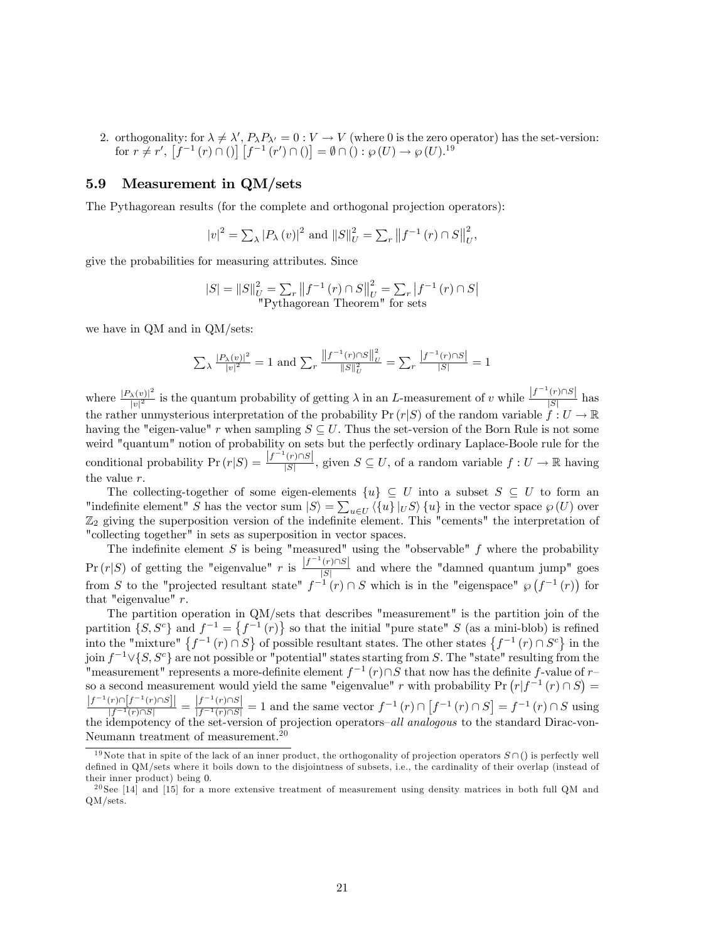2. orthogonality: for  $\lambda \neq \lambda', P_{\lambda}P_{\lambda'} = 0 : V \to V$  (where 0 is the zero operator) has the set-version: for  $r \neq r'$ ,  $[f^{-1}(r) \cap ()] [f^{-1}(r') \cap ()] = \emptyset \cap () : \wp(U) \rightarrow \wp(U).^{19}$ 

## 5.9 Measurement in QM/sets

The Pythagorean results (for the complete and orthogonal projection operators):

$$
|v|^2 = \sum_{\lambda} |P_{\lambda}(v)|^2
$$
 and  $||S||_U^2 = \sum_{r} ||f^{-1}(r) \cap S||_U^2$ ,

give the probabilities for measuring attributes. Since

$$
|S| = ||S||_{U}^{2} = \sum_{r} ||f^{-1}(r) \cap S||_{U}^{2} = \sum_{r} |f^{-1}(r) \cap S|
$$
"Pythagorean Theorem" for sets

we have in QM and in QM/sets:

$$
\sum_{\lambda} \frac{|P_{\lambda}(v)|^2}{|v|^2} = 1 \text{ and } \sum_{r} \frac{\left\|f^{-1}(r) \cap S\right\|_{U}^2}{\|S\|_{U}^2} = \sum_{r} \frac{|f^{-1}(r) \cap S|}{|S|} = 1
$$

where  $\frac{|P_{\lambda}(v)|^2}{|v|^2}$  $\frac{|\lambda(v)|^2}{|v|^2}$  is the quantum probability of getting  $\lambda$  in an L-measurement of v while  $\frac{|f^{-1}(r) \cap S|}{|S|}$  has the rather unmysterious interpretation of the probability  $Pr(r|S)$  of the random variable  $f: U \to \mathbb{R}$ having the "eigen-value" r when sampling  $S \subseteq U$ . Thus the set-version of the Born Rule is not some weird "quantum" notion of probability on sets but the perfectly ordinary Laplace-Boole rule for the conditional probability  $Pr(r|S) = \frac{|f^{-1}(r) \cap S|}{|S|}$ , given  $S \subseteq U$ , of a random variable  $f : U \to \mathbb{R}$  having the value r.

The collecting-together of some eigen-elements  $\{u\} \subseteq U$  into a subset  $S \subseteq U$  to form an "indefinite element" S has the vector sum  $|S\rangle = \sum_{u \in U} \langle \{u\} |_{U} S \rangle \{u\}$  in the vector space  $\wp(U)$  over  $\mathbb{Z}_2$  giving the superposition version of the indefinite element. This "cements" the interpretation of "collecting together" in sets as superposition in vector spaces.

The indefinite element S is being "measured" using the "observable"  $f$  where the probability  $Pr(r|S)$  of getting the "eigenvalue" r is  $\frac{|f^{-1}(r) \cap S|}{|S|}$  and where the "damned quantum jump" goes from S to the "projected resultant state"  $f^{-1}(r) \cap S$  which is in the "eigenspace"  $\wp(f^{-1}(r))$  for that "eigenvalue" r.

The partition operation in QM/sets that describes "measurement" is the partition join of the partition  $\{S, S^c\}$  and  $f^{-1} = \{f^{-1}(r)\}\$ so that the initial "pure state" S (as a mini-blob) is refined into the "mixture"  $\{f^{-1}(r) \cap S\}$  of possible resultant states. The other states  $\{f^{-1}(r) \cap S^c\}$  in the join  $f^{-1} \vee \{S, S^c\}$  are not possible or "potential" states starting from S. The "state" resulting from the "measurement" represents a more-definite element  $f^{-1}(r) \cap S$  that now has the definite f-value of  $r$ so a second measurement would yield the same "eigenvalue" r with probability  $Pr(r|f^{-1}(r) \cap S)$  =  $\frac{|f^{-1}(r) \cap [f^{-1}(r) \cap S]|}{|f^{-1}(r) \cap S|} = \frac{|f^{-1}(r) \cap S|}{|f^{-1}(r) \cap S|} = 1$  and the same vector  $f^{-1}(r) \cap [f^{-1}(r) \cap S] = f^{-1}(r) \cap S$  using the idempotency of the set-version of projection operators-*all analogous* to the standard Dirac-von-Neumann treatment of measurement.<sup>20</sup>

<sup>&</sup>lt;sup>19</sup>Note that in spite of the lack of an inner product, the orthogonality of projection operators  $S \cap ($  is perfectly well defined in QM/sets where it boils down to the disjointness of subsets, i.e., the cardinality of their overlap (instead of their inner product) being 0.

<sup>20</sup> See [14] and [15] for a more extensive treatment of measurement using density matrices in both full QM and QM/sets.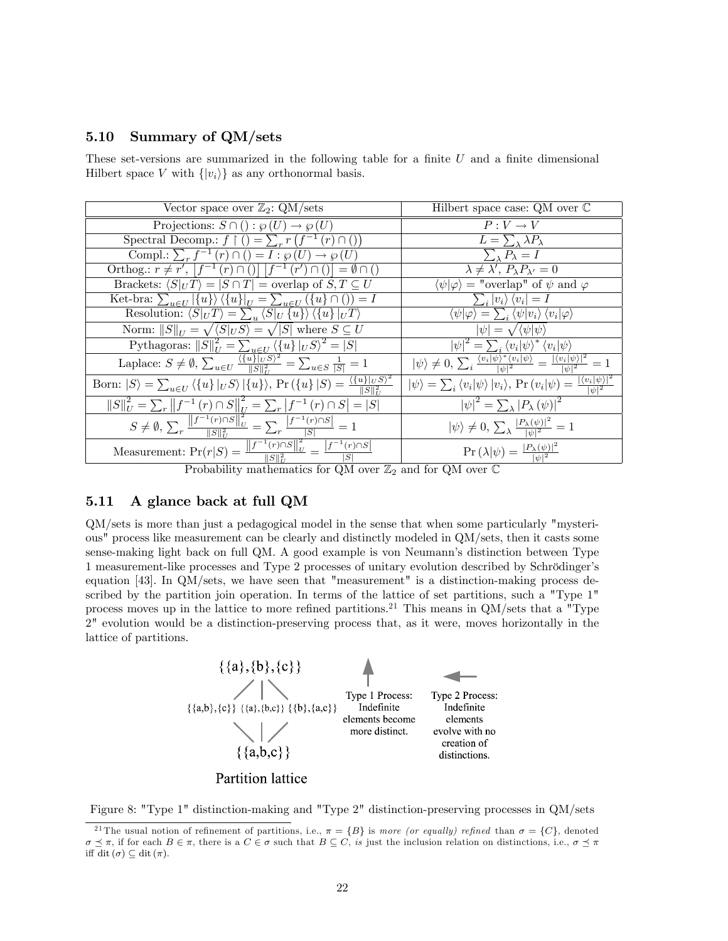# 5.10 Summary of QM/sets

These set-versions are summarized in the following table for a finite  $U$  and a finite dimensional Hilbert space V with  $\{|v_i\rangle\}$  as any orthonormal basis.

| Vector space over $\mathbb{Z}_2$ : QM/sets                                                                                                                                                                            | Hilbert space case: QM over $\mathbb C$                                                                                                                       |
|-----------------------------------------------------------------------------------------------------------------------------------------------------------------------------------------------------------------------|---------------------------------------------------------------------------------------------------------------------------------------------------------------|
| Projections: $S \cap ( ) : \wp(U) \rightarrow \wp(U)$                                                                                                                                                                 | $P: V \to V$                                                                                                                                                  |
| Spectral Decomp.: $f \restriction ( ) = \sum_r r(f^{-1}(r) \cap ( ))$                                                                                                                                                 | $L=\sum_{\lambda} \lambda P_{\lambda}$                                                                                                                        |
| Compl.: $\sum_{r} f^{-1}(r) \cap ( ) = I : \wp(U) \rightarrow \wp(U)$                                                                                                                                                 | $\sum_{\lambda} P_{\lambda} = I$                                                                                                                              |
| Orthog.: $r \neq r'$ , $ f^{-1}(r) \cap ()   f^{-1}(r') \cap ()  = \emptyset \cap ()$                                                                                                                                 | $\lambda \neq \lambda', P_{\lambda}P_{\lambda'}=0$                                                                                                            |
| Brackets: $\langle S _U T \rangle =  S \cap T  =$ overlap of $S, T \subseteq U$                                                                                                                                       | $\langle \psi   \varphi \rangle$ = "overlap" of $\psi$ and $\varphi$                                                                                          |
| Ket-bra: $\sum_{u\in U}  \{u\}\rangle \langle \{u\} _U = \sum_{u\in U} (\{u\} \cap () ) = I$                                                                                                                          | $\sum_i  v_i\rangle \langle v_i  = I$                                                                                                                         |
| Resolution: $\langle S _U T \rangle = \sum_u \langle S _U \{u\} \rangle \langle \{u\} _U T \rangle$                                                                                                                   | $\langle \psi   \varphi \rangle = \sum_i \langle \psi   v_i \rangle \langle v_i   \varphi \rangle$                                                            |
| Norm: $  S  _U = \sqrt{\langle S _U S \rangle} = \sqrt{ S }$ where $S \subseteq U$                                                                                                                                    | $ \psi  = \sqrt{\langle \psi   \psi \rangle}$                                                                                                                 |
|                                                                                                                                                                                                                       | $\left \psi\right ^2 = \sum_i \left\langle v_i \psi\right\rangle^* \left\langle v_i \psi\right\rangle$                                                        |
| Pythagoras: $  S  _U^2 = \sum_{u \in U} \langle \{u\}  _{U} S \rangle^2 =  S $<br>Laplace: $S \neq \emptyset$ , $\sum_{u \in U} \frac{\langle \{u\}  _{U} S \rangle^2}{  S  _U^2} = \sum_{u \in S} \frac{1}{ S } = 1$ | $ \psi\rangle \neq 0$ , $\sum_i \frac{\langle v_i   \psi \rangle^* \langle v_i   \psi \rangle}{ v_i ^2} = \frac{ \langle v_i   \psi \rangle ^2}{ v_i ^2} = 1$ |
| Born: $ S\rangle = \sum_{u \in U} \langle \{u\}  _{U} S \rangle  \{u\}\rangle$ , Pr $(\{u\}   S) = \frac{\overline{\langle \{u\}  _{U} S \rangle^2}}{  S  _{\gamma}^2}$                                               | $ \psi\rangle = \sum_i \langle v_i   \psi \rangle  v_i\rangle$ , Pr $(v_i   \psi) = \frac{ \langle v_i   \psi \rangle ^2}{ \psi ^2}$                          |
| $  S  _U^2 = \sum_r   f^{-1}(r) \cap S  _U^2 = \sum_r  f^{-1}(r) \cap S  =  S $                                                                                                                                       | $\left \psi\right ^2 = \sum_{\lambda} \left P_{\lambda}\left(\psi\right)\right ^2$                                                                            |
| $S \neq \emptyset$ , $\sum_{r} \frac{\left\ f^{-1}(r) \cap S\right\ _{U}^{2}}{\ S\ _{U}^{2}} = \sum_{r} \frac{\left f^{-1}(r) \cap S\right }{ S } = 1$                                                                | $ \psi\rangle \neq 0$ , $\sum_{\lambda} \frac{ P_{\lambda}(\psi) ^2}{ \psi ^2} = 1$                                                                           |
| Measurement: $Pr(r S) = \frac{  f^{-1}(r) \cap S  _U^2}{  S  _U^2} = \frac{ f^{-1}(r) \cap S }{ S }$                                                                                                                  | $\Pr\left(\lambda \psi\right) = \frac{ P_{\lambda}(\psi) ^2}{ \psi ^2}$                                                                                       |
| Probability mathematics for $OM$ over $\mathbb{Z}_{2}$ and for $OM$ over $\mathbb{C}$                                                                                                                                 |                                                                                                                                                               |

Probability mathematics for QM over  $\mathbb{Z}_2$  and for QM over  $\mathbb C$ 

# 5.11 A glance back at full QM

QM/sets is more than just a pedagogical model in the sense that when some particularly "mysterious" process like measurement can be clearly and distinctly modeled in QM/sets, then it casts some sense-making light back on full QM. A good example is von Neumannís distinction between Type 1 measurement-like processes and Type 2 processes of unitary evolution described by Schrödinger's equation [43]. In QM/sets, we have seen that "measurement" is a distinction-making process described by the partition join operation. In terms of the lattice of set partitions, such a "Type 1" process moves up in the lattice to more refined partitions.<sup>21</sup> This means in  $QM/\text{sets}$  that a "Type 2" evolution would be a distinction-preserving process that, as it were, moves horizontally in the lattice of partitions.



Figure 8: "Type 1" distinction-making and "Type 2" distinction-preserving processes in QM/sets

<sup>&</sup>lt;sup>21</sup> The usual notion of refinement of partitions, i.e.,  $\pi = \{B\}$  is more (or equally) refined than  $\sigma = \{C\}$ , denoted  $\sigma \preceq \pi$ , if for each  $B \in \pi$ , there is a  $C \in \sigma$  such that  $B \subseteq C$ , is just the inclusion relation on distinctions, i.e.,  $\sigma \preceq \pi$ iff dit  $(\sigma) \subseteq$  dit  $(\pi)$ .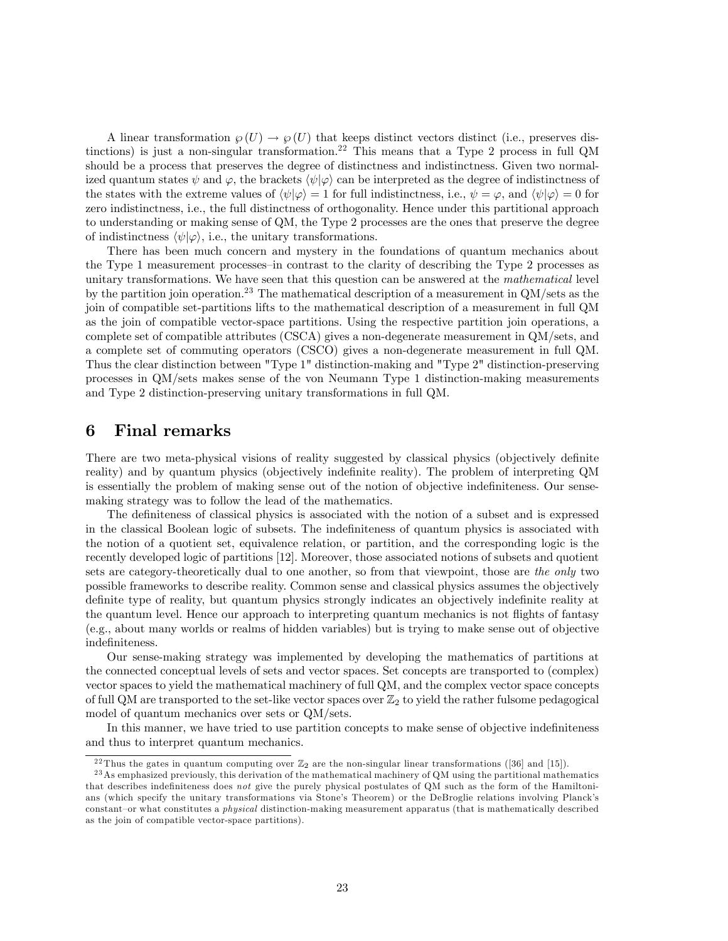A linear transformation  $\wp(U) \to \wp(U)$  that keeps distinct vectors distinct (i.e., preserves distinctions) is just a non-singular transformation.<sup>22</sup> This means that a Type 2 process in full QM should be a process that preserves the degree of distinctness and indistinctness. Given two normalized quantum states  $\psi$  and  $\varphi$ , the brackets  $\langle \psi | \varphi \rangle$  can be interpreted as the degree of indistinctness of the states with the extreme values of  $\langle \psi | \varphi \rangle = 1$  for full indistinctness, i.e.,  $\psi = \varphi$ , and  $\langle \psi | \varphi \rangle = 0$  for zero indistinctness, i.e., the full distinctness of orthogonality. Hence under this partitional approach to understanding or making sense of QM, the Type 2 processes are the ones that preserve the degree of indistinctness  $\langle \psi | \varphi \rangle$ , i.e., the unitary transformations.

There has been much concern and mystery in the foundations of quantum mechanics about the Type 1 measurement processes—in contrast to the clarity of describing the Type 2 processes as unitary transformations. We have seen that this question can be answered at the mathematical level by the partition join operation.<sup>23</sup> The mathematical description of a measurement in  $QM/sets$  as the join of compatible set-partitions lifts to the mathematical description of a measurement in full QM as the join of compatible vector-space partitions. Using the respective partition join operations, a complete set of compatible attributes (CSCA) gives a non-degenerate measurement in QM/sets, and a complete set of commuting operators (CSCO) gives a non-degenerate measurement in full QM. Thus the clear distinction between "Type 1" distinction-making and "Type 2" distinction-preserving processes in QM/sets makes sense of the von Neumann Type 1 distinction-making measurements and Type 2 distinction-preserving unitary transformations in full QM.

# 6 Final remarks

There are two meta-physical visions of reality suggested by classical physics (objectively definite reality) and by quantum physics (objectively indefinite reality). The problem of interpreting QM is essentially the problem of making sense out of the notion of objective indefiniteness. Our sensemaking strategy was to follow the lead of the mathematics.

The definiteness of classical physics is associated with the notion of a subset and is expressed in the classical Boolean logic of subsets. The indefiniteness of quantum physics is associated with the notion of a quotient set, equivalence relation, or partition, and the corresponding logic is the recently developed logic of partitions [12]. Moreover, those associated notions of subsets and quotient sets are category-theoretically dual to one another, so from that viewpoint, those are the only two possible frameworks to describe reality. Common sense and classical physics assumes the objectively definite type of reality, but quantum physics strongly indicates an objectively indefinite reality at the quantum level. Hence our approach to interpreting quantum mechanics is not flights of fantasy (e.g., about many worlds or realms of hidden variables) but is trying to make sense out of objective indefiniteness.

Our sense-making strategy was implemented by developing the mathematics of partitions at the connected conceptual levels of sets and vector spaces. Set concepts are transported to (complex) vector spaces to yield the mathematical machinery of full QM, and the complex vector space concepts of full QM are transported to the set-like vector spaces over  $\mathbb{Z}_2$  to yield the rather fulsome pedagogical model of quantum mechanics over sets or QM/sets.

In this manner, we have tried to use partition concepts to make sense of objective indefiniteness and thus to interpret quantum mechanics.

<sup>&</sup>lt;sup>22</sup> Thus the gates in quantum computing over  $\mathbb{Z}_2$  are the non-singular linear transformations ([36] and [15]).

<sup>&</sup>lt;sup>23</sup>As emphasized previously, this derivation of the mathematical machinery of QM using the partitional mathematics that describes indefiniteness does not give the purely physical postulates of QM such as the form of the Hamiltonians (which specify the unitary transformations via Stone's Theorem) or the DeBroglie relations involving Planck's constant-or what constitutes a *physical* distinction-making measurement apparatus (that is mathematically described as the join of compatible vector-space partitions).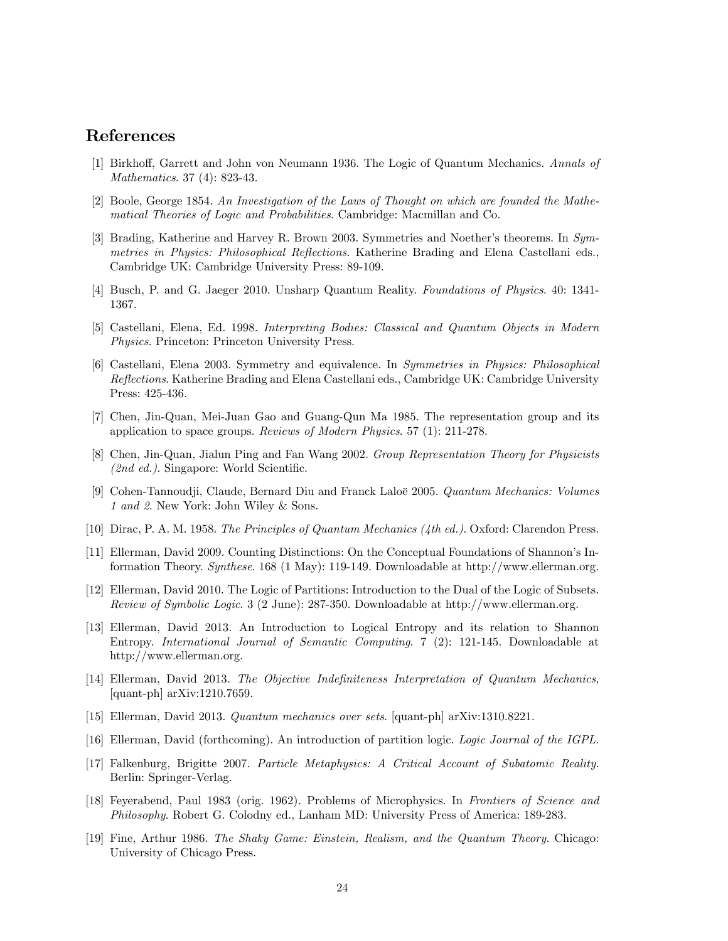# References

- [1] Birkhoff, Garrett and John von Neumann 1936. The Logic of Quantum Mechanics. Annals of Mathematics. 37 (4): 823-43.
- [2] Boole, George 1854. An Investigation of the Laws of Thought on which are founded the Mathematical Theories of Logic and Probabilities. Cambridge: Macmillan and Co.
- [3] Brading, Katherine and Harvey R. Brown 2003. Symmetries and Noether's theorems. In Symmetries in Physics: Philosophical Reflections. Katherine Brading and Elena Castellani eds., Cambridge UK: Cambridge University Press: 89-109.
- [4] Busch, P. and G. Jaeger 2010. Unsharp Quantum Reality. Foundations of Physics. 40: 1341- 1367.
- [5] Castellani, Elena, Ed. 1998. Interpreting Bodies: Classical and Quantum Objects in Modern Physics. Princeton: Princeton University Press.
- [6] Castellani, Elena 2003. Symmetry and equivalence. In Symmetries in Physics: Philosophical Reflections. Katherine Brading and Elena Castellani eds., Cambridge UK: Cambridge University Press: 425-436.
- [7] Chen, Jin-Quan, Mei-Juan Gao and Guang-Qun Ma 1985. The representation group and its application to space groups. Reviews of Modern Physics. 57 (1): 211-278.
- [8] Chen, Jin-Quan, Jialun Ping and Fan Wang 2002. Group Representation Theory for Physicists  $(2nd \ ed.)$ . Singapore: World Scientific.
- [9] Cohen-Tannoudji, Claude, Bernard Diu and Franck Laloë 2005. Quantum Mechanics: Volumes 1 and 2. New York: John Wiley & Sons.
- [10] Dirac, P. A. M. 1958. The Principles of Quantum Mechanics (4th ed.). Oxford: Clarendon Press.
- [11] Ellerman, David 2009. Counting Distinctions: On the Conceptual Foundations of Shannon's Information Theory. Synthese. 168 (1 May): 119-149. Downloadable at http://www.ellerman.org.
- [12] Ellerman, David 2010. The Logic of Partitions: Introduction to the Dual of the Logic of Subsets. Review of Symbolic Logic. 3 (2 June): 287-350. Downloadable at http://www.ellerman.org.
- [13] Ellerman, David 2013. An Introduction to Logical Entropy and its relation to Shannon Entropy. International Journal of Semantic Computing. 7 (2): 121-145. Downloadable at http://www.ellerman.org.
- [14] Ellerman, David 2013. The Objective Indefiniteness Interpretation of Quantum Mechanics, [quant-ph] arXiv:1210.7659.
- [15] Ellerman, David 2013. Quantum mechanics over sets. [quant-ph] arXiv:1310.8221.
- [16] Ellerman, David (forthcoming). An introduction of partition logic. Logic Journal of the IGPL.
- [17] Falkenburg, Brigitte 2007. Particle Metaphysics: A Critical Account of Subatomic Reality. Berlin: Springer-Verlag.
- [18] Feyerabend, Paul 1983 (orig. 1962). Problems of Microphysics. In Frontiers of Science and Philosophy. Robert G. Colodny ed., Lanham MD: University Press of America: 189-283.
- [19] Fine, Arthur 1986. The Shaky Game: Einstein, Realism, and the Quantum Theory. Chicago: University of Chicago Press.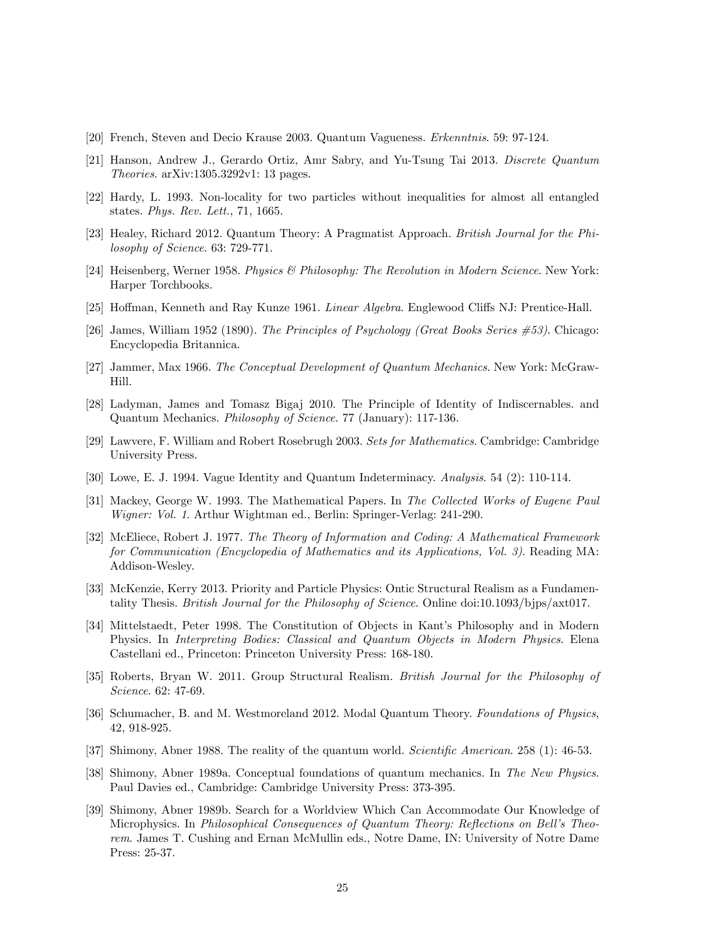- [20] French, Steven and Decio Krause 2003. Quantum Vagueness. Erkenntnis. 59: 97-124.
- [21] Hanson, Andrew J., Gerardo Ortiz, Amr Sabry, and Yu-Tsung Tai 2013. Discrete Quantum Theories. arXiv:1305.3292v1: 13 pages.
- [22] Hardy, L. 1993. Non-locality for two particles without inequalities for almost all entangled states. Phys. Rev. Lett., 71, 1665.
- [23] Healey, Richard 2012. Quantum Theory: A Pragmatist Approach. British Journal for the Philosophy of Science. 63: 729-771.
- [24] Heisenberg, Werner 1958. Physics & Philosophy: The Revolution in Modern Science. New York: Harper Torchbooks.
- [25] Hoffman, Kenneth and Ray Kunze 1961. Linear Algebra. Englewood Cliffs NJ: Prentice-Hall.
- [26] James, William 1952 (1890). The Principles of Psychology (Great Books Series #53). Chicago: Encyclopedia Britannica.
- [27] Jammer, Max 1966. The Conceptual Development of Quantum Mechanics. New York: McGraw-Hill.
- [28] Ladyman, James and Tomasz Bigaj 2010. The Principle of Identity of Indiscernables. and Quantum Mechanics. Philosophy of Science. 77 (January): 117-136.
- [29] Lawvere, F. William and Robert Rosebrugh 2003. Sets for Mathematics. Cambridge: Cambridge University Press.
- [30] Lowe, E. J. 1994. Vague Identity and Quantum Indeterminacy. Analysis. 54 (2): 110-114.
- [31] Mackey, George W. 1993. The Mathematical Papers. In The Collected Works of Eugene Paul Wigner: Vol. 1. Arthur Wightman ed., Berlin: Springer-Verlag: 241-290.
- [32] McEliece, Robert J. 1977. The Theory of Information and Coding: A Mathematical Framework for Communication (Encyclopedia of Mathematics and its Applications, Vol. 3). Reading MA: Addison-Wesley.
- [33] McKenzie, Kerry 2013. Priority and Particle Physics: Ontic Structural Realism as a Fundamentality Thesis. British Journal for the Philosophy of Science. Online doi:10.1093/bjps/axt017.
- [34] Mittelstaedt, Peter 1998. The Constitution of Objects in Kant's Philosophy and in Modern Physics. In Interpreting Bodies: Classical and Quantum Objects in Modern Physics. Elena Castellani ed., Princeton: Princeton University Press: 168-180.
- [35] Roberts, Bryan W. 2011. Group Structural Realism. British Journal for the Philosophy of Science. 62: 47-69.
- [36] Schumacher, B. and M. Westmoreland 2012. Modal Quantum Theory. Foundations of Physics, 42, 918-925.
- [37] Shimony, Abner 1988. The reality of the quantum world. *Scientific American.* 258 (1):  $46-53$ .
- [38] Shimony, Abner 1989a. Conceptual foundations of quantum mechanics. In The New Physics. Paul Davies ed., Cambridge: Cambridge University Press: 373-395.
- [39] Shimony, Abner 1989b. Search for a Worldview Which Can Accommodate Our Knowledge of Microphysics. In *Philosophical Consequences of Quantum Theory: Reflections on Bell's Theo*rem. James T. Cushing and Ernan McMullin eds., Notre Dame, IN: University of Notre Dame Press: 25-37.